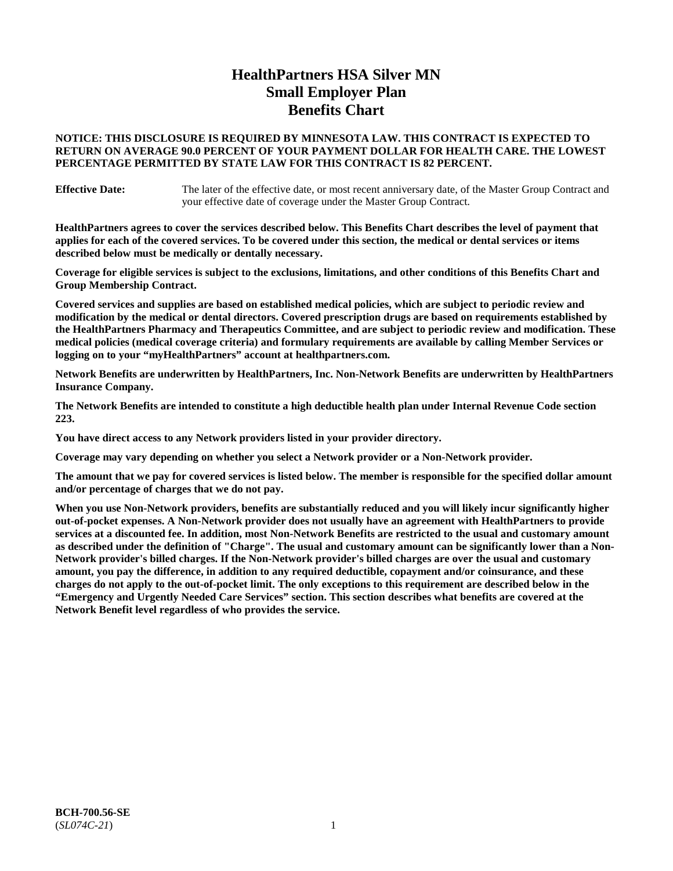# **HealthPartners HSA Silver MN Small Employer Plan Benefits Chart**

## **NOTICE: THIS DISCLOSURE IS REQUIRED BY MINNESOTA LAW. THIS CONTRACT IS EXPECTED TO RETURN ON AVERAGE 90.0 PERCENT OF YOUR PAYMENT DOLLAR FOR HEALTH CARE. THE LOWEST PERCENTAGE PERMITTED BY STATE LAW FOR THIS CONTRACT IS 82 PERCENT.**

**Effective Date:** The later of the effective date, or most recent anniversary date, of the Master Group Contract and your effective date of coverage under the Master Group Contract.

**HealthPartners agrees to cover the services described below. This Benefits Chart describes the level of payment that applies for each of the covered services. To be covered under this section, the medical or dental services or items described below must be medically or dentally necessary.**

**Coverage for eligible services is subject to the exclusions, limitations, and other conditions of this Benefits Chart and Group Membership Contract.**

**Covered services and supplies are based on established medical policies, which are subject to periodic review and modification by the medical or dental directors. Covered prescription drugs are based on requirements established by the HealthPartners Pharmacy and Therapeutics Committee, and are subject to periodic review and modification. These medical policies (medical coverage criteria) and formulary requirements are available by calling Member Services or logging on to your "myHealthPartners" account at [healthpartners.com.](https://www.healthpartners.com/hp/index.html)**

**Network Benefits are underwritten by HealthPartners, Inc. Non-Network Benefits are underwritten by HealthPartners Insurance Company.** 

**The Network Benefits are intended to constitute a high deductible health plan under Internal Revenue Code section 223.** 

**You have direct access to any Network providers listed in your provider directory.**

**Coverage may vary depending on whether you select a Network provider or a Non-Network provider.**

**The amount that we pay for covered services is listed below. The member is responsible for the specified dollar amount and/or percentage of charges that we do not pay.**

**When you use Non-Network providers, benefits are substantially reduced and you will likely incur significantly higher out-of-pocket expenses. A Non-Network provider does not usually have an agreement with HealthPartners to provide services at a discounted fee. In addition, most Non-Network Benefits are restricted to the usual and customary amount as described under the definition of "Charge". The usual and customary amount can be significantly lower than a Non-Network provider's billed charges. If the Non-Network provider's billed charges are over the usual and customary amount, you pay the difference, in addition to any required deductible, copayment and/or coinsurance, and these charges do not apply to the out-of-pocket limit. The only exceptions to this requirement are described below in the "Emergency and Urgently Needed Care Services" section. This section describes what benefits are covered at the Network Benefit level regardless of who provides the service.**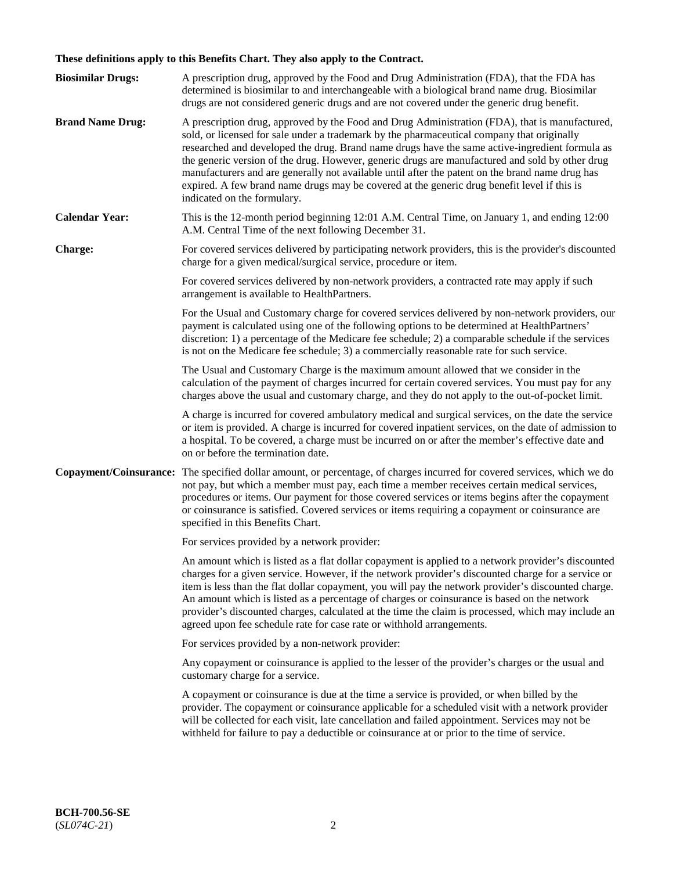# **These definitions apply to this Benefits Chart. They also apply to the Contract.**

| <b>Biosimilar Drugs:</b> | A prescription drug, approved by the Food and Drug Administration (FDA), that the FDA has<br>determined is biosimilar to and interchangeable with a biological brand name drug. Biosimilar<br>drugs are not considered generic drugs and are not covered under the generic drug benefit.                                                                                                                                                                                                                                                                                                                                           |
|--------------------------|------------------------------------------------------------------------------------------------------------------------------------------------------------------------------------------------------------------------------------------------------------------------------------------------------------------------------------------------------------------------------------------------------------------------------------------------------------------------------------------------------------------------------------------------------------------------------------------------------------------------------------|
| <b>Brand Name Drug:</b>  | A prescription drug, approved by the Food and Drug Administration (FDA), that is manufactured,<br>sold, or licensed for sale under a trademark by the pharmaceutical company that originally<br>researched and developed the drug. Brand name drugs have the same active-ingredient formula as<br>the generic version of the drug. However, generic drugs are manufactured and sold by other drug<br>manufacturers and are generally not available until after the patent on the brand name drug has<br>expired. A few brand name drugs may be covered at the generic drug benefit level if this is<br>indicated on the formulary. |
| <b>Calendar Year:</b>    | This is the 12-month period beginning 12:01 A.M. Central Time, on January 1, and ending 12:00<br>A.M. Central Time of the next following December 31.                                                                                                                                                                                                                                                                                                                                                                                                                                                                              |
| <b>Charge:</b>           | For covered services delivered by participating network providers, this is the provider's discounted<br>charge for a given medical/surgical service, procedure or item.                                                                                                                                                                                                                                                                                                                                                                                                                                                            |
|                          | For covered services delivered by non-network providers, a contracted rate may apply if such<br>arrangement is available to HealthPartners.                                                                                                                                                                                                                                                                                                                                                                                                                                                                                        |
|                          | For the Usual and Customary charge for covered services delivered by non-network providers, our<br>payment is calculated using one of the following options to be determined at HealthPartners'<br>discretion: 1) a percentage of the Medicare fee schedule; 2) a comparable schedule if the services<br>is not on the Medicare fee schedule; 3) a commercially reasonable rate for such service.                                                                                                                                                                                                                                  |
|                          | The Usual and Customary Charge is the maximum amount allowed that we consider in the<br>calculation of the payment of charges incurred for certain covered services. You must pay for any<br>charges above the usual and customary charge, and they do not apply to the out-of-pocket limit.                                                                                                                                                                                                                                                                                                                                       |
|                          | A charge is incurred for covered ambulatory medical and surgical services, on the date the service<br>or item is provided. A charge is incurred for covered inpatient services, on the date of admission to<br>a hospital. To be covered, a charge must be incurred on or after the member's effective date and<br>on or before the termination date.                                                                                                                                                                                                                                                                              |
| Copayment/Coinsurance:   | The specified dollar amount, or percentage, of charges incurred for covered services, which we do<br>not pay, but which a member must pay, each time a member receives certain medical services,<br>procedures or items. Our payment for those covered services or items begins after the copayment<br>or coinsurance is satisfied. Covered services or items requiring a copayment or coinsurance are<br>specified in this Benefits Chart.                                                                                                                                                                                        |
|                          | For services provided by a network provider:                                                                                                                                                                                                                                                                                                                                                                                                                                                                                                                                                                                       |
|                          | An amount which is listed as a flat dollar copayment is applied to a network provider's discounted<br>charges for a given service. However, if the network provider's discounted charge for a service or<br>item is less than the flat dollar copayment, you will pay the network provider's discounted charge.<br>An amount which is listed as a percentage of charges or coinsurance is based on the network<br>provider's discounted charges, calculated at the time the claim is processed, which may include an<br>agreed upon fee schedule rate for case rate or withhold arrangements.                                      |
|                          | For services provided by a non-network provider:                                                                                                                                                                                                                                                                                                                                                                                                                                                                                                                                                                                   |
|                          | Any copayment or coinsurance is applied to the lesser of the provider's charges or the usual and<br>customary charge for a service.                                                                                                                                                                                                                                                                                                                                                                                                                                                                                                |
|                          | A copayment or coinsurance is due at the time a service is provided, or when billed by the<br>provider. The copayment or coinsurance applicable for a scheduled visit with a network provider<br>will be collected for each visit, late cancellation and failed appointment. Services may not be<br>withheld for failure to pay a deductible or coinsurance at or prior to the time of service.                                                                                                                                                                                                                                    |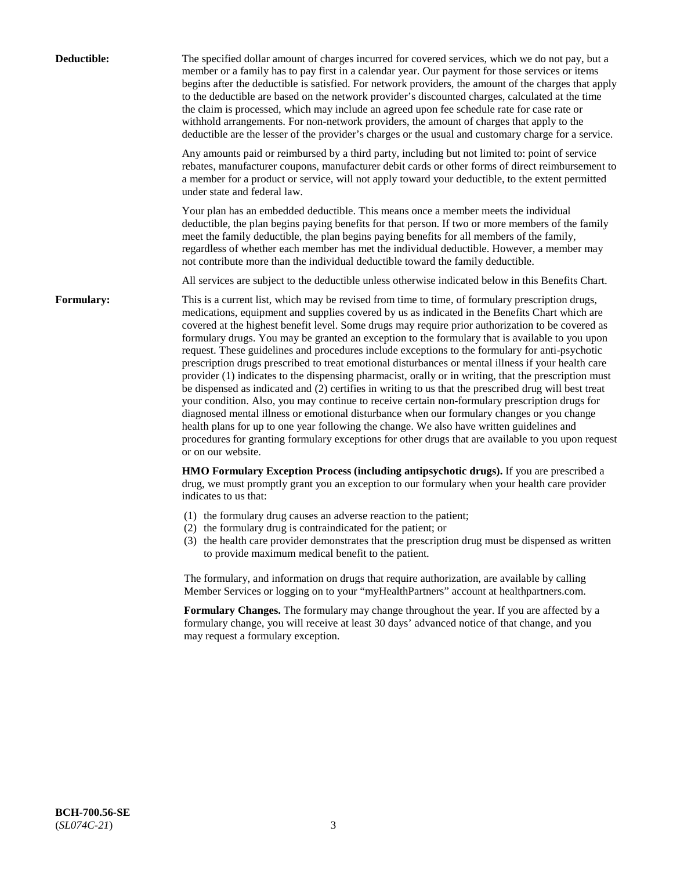| Deductible:       | The specified dollar amount of charges incurred for covered services, which we do not pay, but a<br>member or a family has to pay first in a calendar year. Our payment for those services or items<br>begins after the deductible is satisfied. For network providers, the amount of the charges that apply<br>to the deductible are based on the network provider's discounted charges, calculated at the time<br>the claim is processed, which may include an agreed upon fee schedule rate for case rate or<br>withhold arrangements. For non-network providers, the amount of charges that apply to the<br>deductible are the lesser of the provider's charges or the usual and customary charge for a service.                                                                                                                                                                                                                                                                                                                                                                                                                                                                                                                                             |
|-------------------|------------------------------------------------------------------------------------------------------------------------------------------------------------------------------------------------------------------------------------------------------------------------------------------------------------------------------------------------------------------------------------------------------------------------------------------------------------------------------------------------------------------------------------------------------------------------------------------------------------------------------------------------------------------------------------------------------------------------------------------------------------------------------------------------------------------------------------------------------------------------------------------------------------------------------------------------------------------------------------------------------------------------------------------------------------------------------------------------------------------------------------------------------------------------------------------------------------------------------------------------------------------|
|                   | Any amounts paid or reimbursed by a third party, including but not limited to: point of service<br>rebates, manufacturer coupons, manufacturer debit cards or other forms of direct reimbursement to<br>a member for a product or service, will not apply toward your deductible, to the extent permitted<br>under state and federal law.                                                                                                                                                                                                                                                                                                                                                                                                                                                                                                                                                                                                                                                                                                                                                                                                                                                                                                                        |
|                   | Your plan has an embedded deductible. This means once a member meets the individual<br>deductible, the plan begins paying benefits for that person. If two or more members of the family<br>meet the family deductible, the plan begins paying benefits for all members of the family,<br>regardless of whether each member has met the individual deductible. However, a member may<br>not contribute more than the individual deductible toward the family deductible.                                                                                                                                                                                                                                                                                                                                                                                                                                                                                                                                                                                                                                                                                                                                                                                         |
|                   | All services are subject to the deductible unless otherwise indicated below in this Benefits Chart.                                                                                                                                                                                                                                                                                                                                                                                                                                                                                                                                                                                                                                                                                                                                                                                                                                                                                                                                                                                                                                                                                                                                                              |
| <b>Formulary:</b> | This is a current list, which may be revised from time to time, of formulary prescription drugs,<br>medications, equipment and supplies covered by us as indicated in the Benefits Chart which are<br>covered at the highest benefit level. Some drugs may require prior authorization to be covered as<br>formulary drugs. You may be granted an exception to the formulary that is available to you upon<br>request. These guidelines and procedures include exceptions to the formulary for anti-psychotic<br>prescription drugs prescribed to treat emotional disturbances or mental illness if your health care<br>provider (1) indicates to the dispensing pharmacist, orally or in writing, that the prescription must<br>be dispensed as indicated and (2) certifies in writing to us that the prescribed drug will best treat<br>your condition. Also, you may continue to receive certain non-formulary prescription drugs for<br>diagnosed mental illness or emotional disturbance when our formulary changes or you change<br>health plans for up to one year following the change. We also have written guidelines and<br>procedures for granting formulary exceptions for other drugs that are available to you upon request<br>or on our website. |
|                   | HMO Formulary Exception Process (including antipsychotic drugs). If you are prescribed a<br>drug, we must promptly grant you an exception to our formulary when your health care provider<br>indicates to us that:                                                                                                                                                                                                                                                                                                                                                                                                                                                                                                                                                                                                                                                                                                                                                                                                                                                                                                                                                                                                                                               |
|                   | (1) the formulary drug causes an adverse reaction to the patient;<br>(2) the formulary drug is contraindicated for the patient; or<br>(3) the health care provider demonstrates that the prescription drug must be dispensed as written<br>to provide maximum medical benefit to the patient.                                                                                                                                                                                                                                                                                                                                                                                                                                                                                                                                                                                                                                                                                                                                                                                                                                                                                                                                                                    |
|                   | The formulary, and information on drugs that require authorization, are available by calling<br>Member Services or logging on to your "myHealthPartners" account at healthpartners.com.                                                                                                                                                                                                                                                                                                                                                                                                                                                                                                                                                                                                                                                                                                                                                                                                                                                                                                                                                                                                                                                                          |
|                   | Formulary Changes. The formulary may change throughout the year. If you are affected by a<br>formulary change, you will receive at least 30 days' advanced notice of that change, and you<br>may request a formulary exception.                                                                                                                                                                                                                                                                                                                                                                                                                                                                                                                                                                                                                                                                                                                                                                                                                                                                                                                                                                                                                                  |
|                   |                                                                                                                                                                                                                                                                                                                                                                                                                                                                                                                                                                                                                                                                                                                                                                                                                                                                                                                                                                                                                                                                                                                                                                                                                                                                  |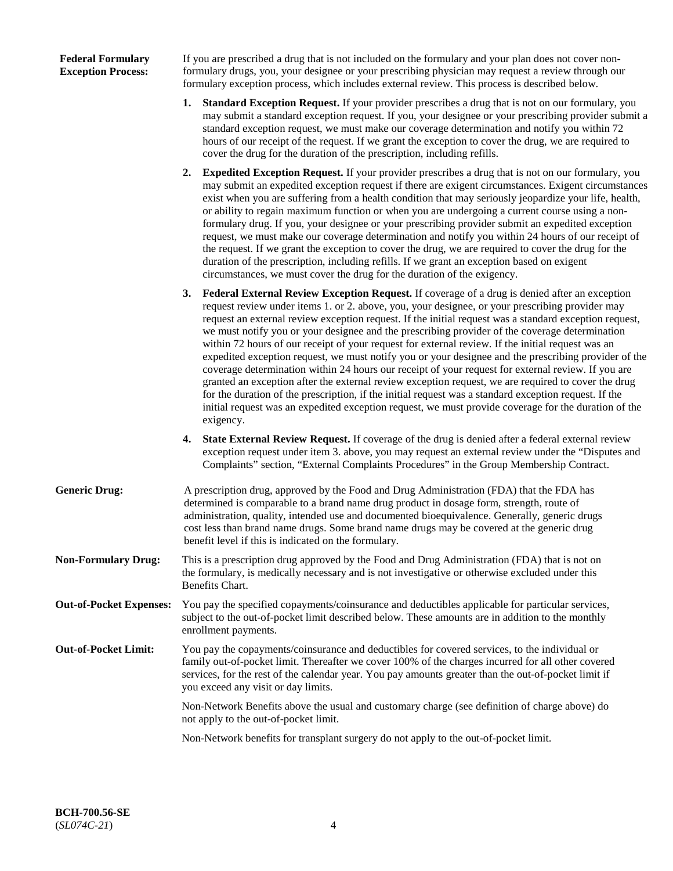## **Federal Formulary Exception Process:**

If you are prescribed a drug that is not included on the formulary and your plan does not cover nonformulary drugs, you, your designee or your prescribing physician may request a review through our formulary exception process, which includes external review. This process is described below.

- **1. Standard Exception Request.** If your provider prescribes a drug that is not on our formulary, you may submit a standard exception request. If you, your designee or your prescribing provider submit a standard exception request, we must make our coverage determination and notify you within 72 hours of our receipt of the request. If we grant the exception to cover the drug, we are required to cover the drug for the duration of the prescription, including refills.
- **2. Expedited Exception Request.** If your provider prescribes a drug that is not on our formulary, you may submit an expedited exception request if there are exigent circumstances. Exigent circumstances exist when you are suffering from a health condition that may seriously jeopardize your life, health, or ability to regain maximum function or when you are undergoing a current course using a nonformulary drug. If you, your designee or your prescribing provider submit an expedited exception request, we must make our coverage determination and notify you within 24 hours of our receipt of the request. If we grant the exception to cover the drug, we are required to cover the drug for the duration of the prescription, including refills. If we grant an exception based on exigent circumstances, we must cover the drug for the duration of the exigency.
- **3. Federal External Review Exception Request.** If coverage of a drug is denied after an exception request review under items 1. or 2. above, you, your designee, or your prescribing provider may request an external review exception request. If the initial request was a standard exception request, we must notify you or your designee and the prescribing provider of the coverage determination within 72 hours of our receipt of your request for external review. If the initial request was an expedited exception request, we must notify you or your designee and the prescribing provider of the coverage determination within 24 hours our receipt of your request for external review. If you are granted an exception after the external review exception request, we are required to cover the drug for the duration of the prescription, if the initial request was a standard exception request. If the initial request was an expedited exception request, we must provide coverage for the duration of the exigency.
- **4. State External Review Request.** If coverage of the drug is denied after a federal external review exception request under item 3. above, you may request an external review under the "Disputes and Complaints" section, "External Complaints Procedures" in the Group Membership Contract.
- **Generic Drug:** A prescription drug, approved by the Food and Drug Administration (FDA) that the FDA has determined is comparable to a brand name drug product in dosage form, strength, route of administration, quality, intended use and documented bioequivalence. Generally, generic drugs cost less than brand name drugs. Some brand name drugs may be covered at the generic drug benefit level if this is indicated on the formulary.
- **Non-Formulary Drug:** This is a prescription drug approved by the Food and Drug Administration (FDA) that is not on the formulary, is medically necessary and is not investigative or otherwise excluded under this Benefits Chart.
- **Out-of-Pocket Expenses:** You pay the specified copayments/coinsurance and deductibles applicable for particular services, subject to the out-of-pocket limit described below. These amounts are in addition to the monthly enrollment payments.
- **Out-of-Pocket Limit:** You pay the copayments/coinsurance and deductibles for covered services, to the individual or family out-of-pocket limit. Thereafter we cover 100% of the charges incurred for all other covered services, for the rest of the calendar year. You pay amounts greater than the out-of-pocket limit if you exceed any visit or day limits.

Non-Network Benefits above the usual and customary charge (see definition of charge above) do not apply to the out-of-pocket limit.

Non-Network benefits for transplant surgery do not apply to the out-of-pocket limit.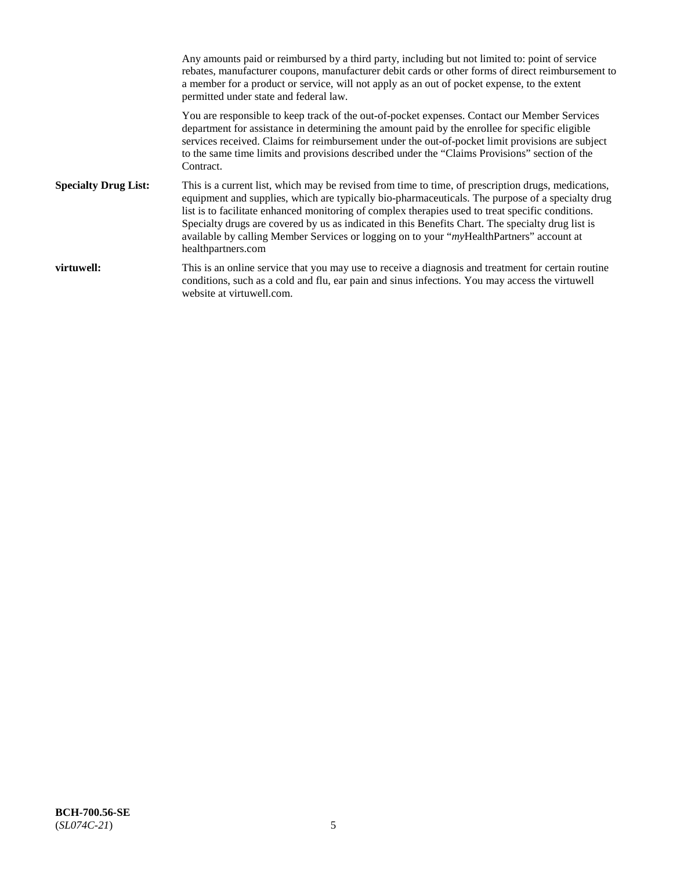Any amounts paid or reimbursed by a third party, including but not limited to: point of service rebates, manufacturer coupons, manufacturer debit cards or other forms of direct reimbursement to a member for a product or service, will not apply as an out of pocket expense, to the extent permitted under state and federal law. You are responsible to keep track of the out-of-pocket expenses. Contact our Member Services department for assistance in determining the amount paid by the enrollee for specific eligible services received. Claims for reimbursement under the out-of-pocket limit provisions are subject to the same time limits and provisions described under the "Claims Provisions" section of the Contract. **Specialty Drug List:** This is a current list, which may be revised from time to time, of prescription drugs, medications, equipment and supplies, which are typically bio-pharmaceuticals. The purpose of a specialty drug list is to facilitate enhanced monitoring of complex therapies used to treat specific conditions. Specialty drugs are covered by us as indicated in this Benefits Chart. The specialty drug list is available by calling Member Services or logging on to your "*my*HealthPartners" account at [healthpartners.com](https://www.healthpartners.com/hp/index.html) **virtuwell:** This is an online service that you may use to receive a diagnosis and treatment for certain routine conditions, such as a cold and flu, ear pain and sinus infections. You may access the virtuwell website at [virtuwell.com.](https://www.virtuwell.com/)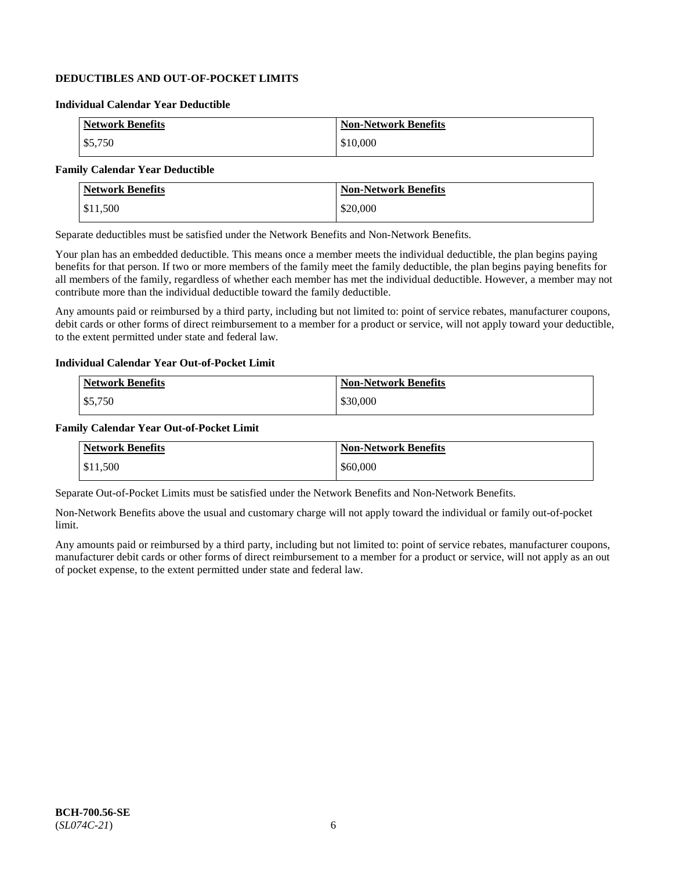## **DEDUCTIBLES AND OUT-OF-POCKET LIMITS**

## **Individual Calendar Year Deductible**

| <b>Network Benefits</b> | <b>Non-Network Benefits</b> |
|-------------------------|-----------------------------|
| \$5,750                 | \$10,000                    |

## **Family Calendar Year Deductible**

| <b>Network Benefits</b> | <b>Non-Network Benefits</b> |
|-------------------------|-----------------------------|
| $\vert$ \$11,500        | \$20,000                    |

Separate deductibles must be satisfied under the Network Benefits and Non-Network Benefits.

Your plan has an embedded deductible. This means once a member meets the individual deductible, the plan begins paying benefits for that person. If two or more members of the family meet the family deductible, the plan begins paying benefits for all members of the family, regardless of whether each member has met the individual deductible. However, a member may not contribute more than the individual deductible toward the family deductible.

Any amounts paid or reimbursed by a third party, including but not limited to: point of service rebates, manufacturer coupons, debit cards or other forms of direct reimbursement to a member for a product or service, will not apply toward your deductible, to the extent permitted under state and federal law.

#### **Individual Calendar Year Out-of-Pocket Limit**

| <b>Network Benefits</b> | <b>Non-Network Benefits</b> |
|-------------------------|-----------------------------|
| \$5,750                 | \$30,000                    |

#### **Family Calendar Year Out-of-Pocket Limit**

| <b>Network Benefits</b> | <b>Non-Network Benefits</b> |
|-------------------------|-----------------------------|
| \$11.500                | \$60,000                    |

Separate Out-of-Pocket Limits must be satisfied under the Network Benefits and Non-Network Benefits.

Non-Network Benefits above the usual and customary charge will not apply toward the individual or family out-of-pocket limit.

Any amounts paid or reimbursed by a third party, including but not limited to: point of service rebates, manufacturer coupons, manufacturer debit cards or other forms of direct reimbursement to a member for a product or service, will not apply as an out of pocket expense, to the extent permitted under state and federal law.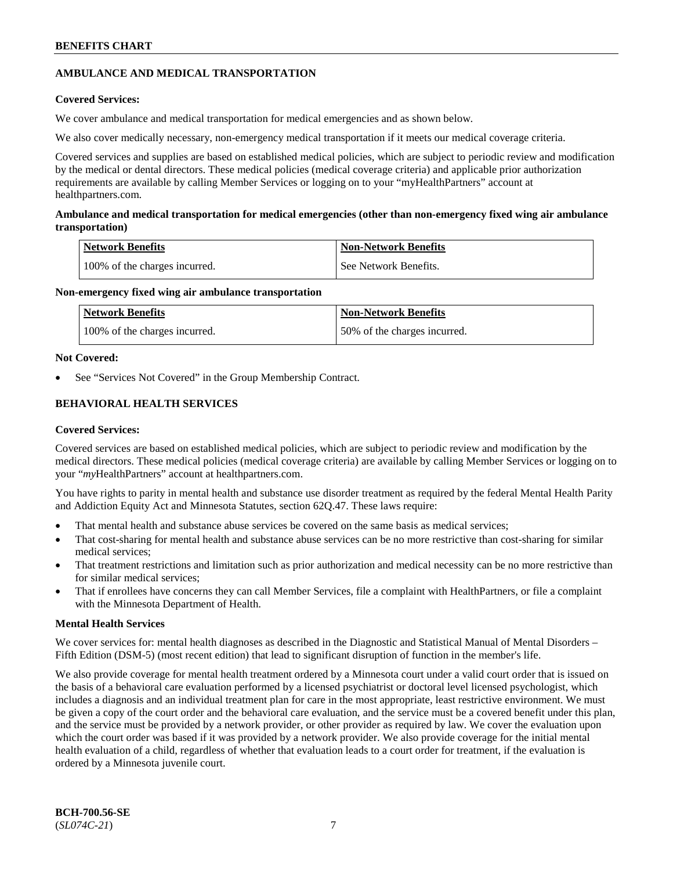## **AMBULANCE AND MEDICAL TRANSPORTATION**

## **Covered Services:**

We cover ambulance and medical transportation for medical emergencies and as shown below.

We also cover medically necessary, non-emergency medical transportation if it meets our medical coverage criteria.

Covered services and supplies are based on established medical policies, which are subject to periodic review and modification by the medical or dental directors. These medical policies (medical coverage criteria) and applicable prior authorization requirements are available by calling Member Services or logging on to your "myHealthPartners" account at [healthpartners.com.](https://www.healthpartners.com/hp/index.html)

## **Ambulance and medical transportation for medical emergencies (other than non-emergency fixed wing air ambulance transportation)**

| Network Benefits              | <b>Non-Network Benefits</b> |
|-------------------------------|-----------------------------|
| 100% of the charges incurred. | See Network Benefits.       |

## **Non-emergency fixed wing air ambulance transportation**

| Network Benefits              | <b>Non-Network Benefits</b>  |
|-------------------------------|------------------------------|
| 100% of the charges incurred. | 50% of the charges incurred. |

## **Not Covered:**

See "Services Not Covered" in the Group Membership Contract.

## **BEHAVIORAL HEALTH SERVICES**

## **Covered Services:**

Covered services are based on established medical policies, which are subject to periodic review and modification by the medical directors. These medical policies (medical coverage criteria) are available by calling Member Services or logging on to your "*my*HealthPartners" account at [healthpartners.com.](http://www.healthpartners.com/)

You have rights to parity in mental health and substance use disorder treatment as required by the federal Mental Health Parity and Addiction Equity Act and Minnesota Statutes, section 62Q.47. These laws require:

- That mental health and substance abuse services be covered on the same basis as medical services;
- That cost-sharing for mental health and substance abuse services can be no more restrictive than cost-sharing for similar medical services;
- That treatment restrictions and limitation such as prior authorization and medical necessity can be no more restrictive than for similar medical services;
- That if enrollees have concerns they can call Member Services, file a complaint with HealthPartners, or file a complaint with the Minnesota Department of Health.

## **Mental Health Services**

We cover services for: mental health diagnoses as described in the Diagnostic and Statistical Manual of Mental Disorders – Fifth Edition (DSM-5) (most recent edition) that lead to significant disruption of function in the member's life.

We also provide coverage for mental health treatment ordered by a Minnesota court under a valid court order that is issued on the basis of a behavioral care evaluation performed by a licensed psychiatrist or doctoral level licensed psychologist, which includes a diagnosis and an individual treatment plan for care in the most appropriate, least restrictive environment. We must be given a copy of the court order and the behavioral care evaluation, and the service must be a covered benefit under this plan, and the service must be provided by a network provider, or other provider as required by law. We cover the evaluation upon which the court order was based if it was provided by a network provider. We also provide coverage for the initial mental health evaluation of a child, regardless of whether that evaluation leads to a court order for treatment, if the evaluation is ordered by a Minnesota juvenile court.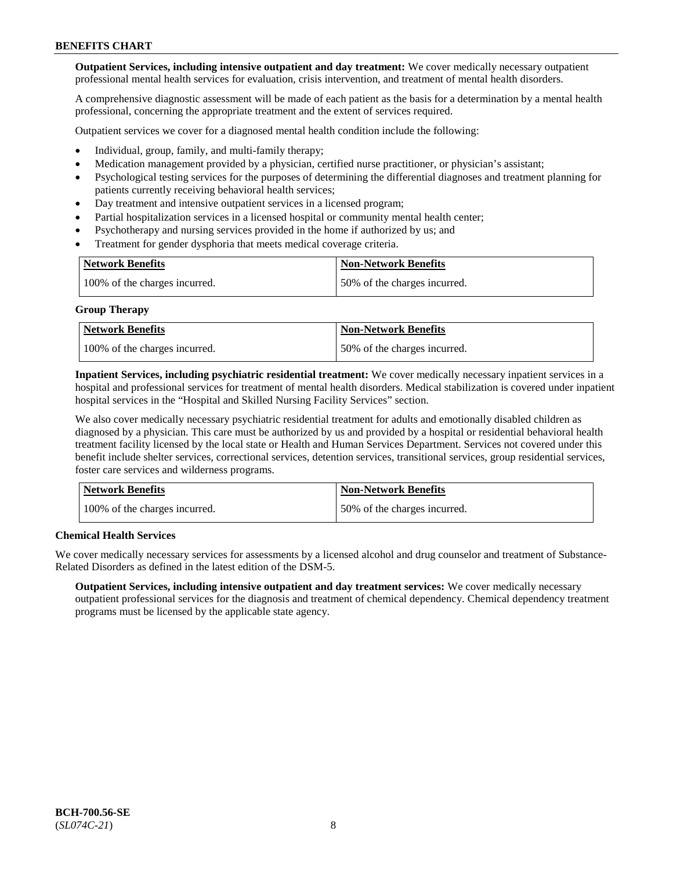**Outpatient Services, including intensive outpatient and day treatment:** We cover medically necessary outpatient professional mental health services for evaluation, crisis intervention, and treatment of mental health disorders.

A comprehensive diagnostic assessment will be made of each patient as the basis for a determination by a mental health professional, concerning the appropriate treatment and the extent of services required.

Outpatient services we cover for a diagnosed mental health condition include the following:

- Individual, group, family, and multi-family therapy;
- Medication management provided by a physician, certified nurse practitioner, or physician's assistant;
- Psychological testing services for the purposes of determining the differential diagnoses and treatment planning for patients currently receiving behavioral health services;
- Day treatment and intensive outpatient services in a licensed program;
- Partial hospitalization services in a licensed hospital or community mental health center;
- Psychotherapy and nursing services provided in the home if authorized by us; and
- Treatment for gender dysphoria that meets medical coverage criteria.

| <b>Network Benefits</b>       | <b>Non-Network Benefits</b>  |
|-------------------------------|------------------------------|
| 100% of the charges incurred. | 50% of the charges incurred. |

#### **Group Therapy**

| Network Benefits              | <b>Non-Network Benefits</b>  |
|-------------------------------|------------------------------|
| 100% of the charges incurred. | 50% of the charges incurred. |

**Inpatient Services, including psychiatric residential treatment:** We cover medically necessary inpatient services in a hospital and professional services for treatment of mental health disorders. Medical stabilization is covered under inpatient hospital services in the "Hospital and Skilled Nursing Facility Services" section.

We also cover medically necessary psychiatric residential treatment for adults and emotionally disabled children as diagnosed by a physician. This care must be authorized by us and provided by a hospital or residential behavioral health treatment facility licensed by the local state or Health and Human Services Department. Services not covered under this benefit include shelter services, correctional services, detention services, transitional services, group residential services, foster care services and wilderness programs.

| Network Benefits              | <b>Non-Network Benefits</b>  |
|-------------------------------|------------------------------|
| 100% of the charges incurred. | 50% of the charges incurred. |

## **Chemical Health Services**

We cover medically necessary services for assessments by a licensed alcohol and drug counselor and treatment of Substance-Related Disorders as defined in the latest edition of the DSM-5.

**Outpatient Services, including intensive outpatient and day treatment services:** We cover medically necessary outpatient professional services for the diagnosis and treatment of chemical dependency. Chemical dependency treatment programs must be licensed by the applicable state agency.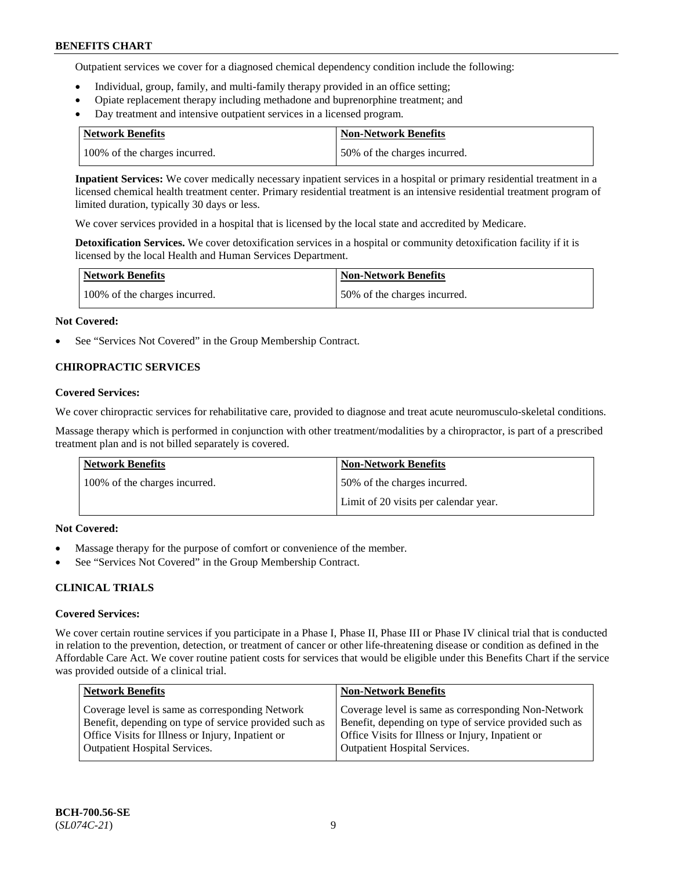Outpatient services we cover for a diagnosed chemical dependency condition include the following:

- Individual, group, family, and multi-family therapy provided in an office setting;
- Opiate replacement therapy including methadone and buprenorphine treatment; and
- Day treatment and intensive outpatient services in a licensed program.

| Network Benefits              | <b>Non-Network Benefits</b>  |
|-------------------------------|------------------------------|
| 100% of the charges incurred. | 50% of the charges incurred. |

**Inpatient Services:** We cover medically necessary inpatient services in a hospital or primary residential treatment in a licensed chemical health treatment center. Primary residential treatment is an intensive residential treatment program of limited duration, typically 30 days or less.

We cover services provided in a hospital that is licensed by the local state and accredited by Medicare.

**Detoxification Services.** We cover detoxification services in a hospital or community detoxification facility if it is licensed by the local Health and Human Services Department.

| <b>Network Benefits</b>       | <b>Non-Network Benefits</b>  |
|-------------------------------|------------------------------|
| 100% of the charges incurred. | 50% of the charges incurred. |

#### **Not Covered:**

See "Services Not Covered" in the Group Membership Contract.

## **CHIROPRACTIC SERVICES**

#### **Covered Services:**

We cover chiropractic services for rehabilitative care, provided to diagnose and treat acute neuromusculo-skeletal conditions.

Massage therapy which is performed in conjunction with other treatment/modalities by a chiropractor, is part of a prescribed treatment plan and is not billed separately is covered.

| Network Benefits              | <b>Non-Network Benefits</b>           |
|-------------------------------|---------------------------------------|
| 100% of the charges incurred. | 50% of the charges incurred.          |
|                               | Limit of 20 visits per calendar year. |

## **Not Covered:**

- Massage therapy for the purpose of comfort or convenience of the member.
- See "Services Not Covered" in the Group Membership Contract.

## **CLINICAL TRIALS**

#### **Covered Services:**

We cover certain routine services if you participate in a Phase I, Phase II, Phase III or Phase IV clinical trial that is conducted in relation to the prevention, detection, or treatment of cancer or other life-threatening disease or condition as defined in the Affordable Care Act. We cover routine patient costs for services that would be eligible under this Benefits Chart if the service was provided outside of a clinical trial.

| <b>Network Benefits</b>                                                                                                                                                                                | <b>Non-Network Benefits</b>                                                                                                                                                                                |
|--------------------------------------------------------------------------------------------------------------------------------------------------------------------------------------------------------|------------------------------------------------------------------------------------------------------------------------------------------------------------------------------------------------------------|
| Coverage level is same as corresponding Network<br>Benefit, depending on type of service provided such as<br>Office Visits for Illness or Injury, Inpatient or<br><b>Outpatient Hospital Services.</b> | Coverage level is same as corresponding Non-Network<br>Benefit, depending on type of service provided such as<br>Office Visits for Illness or Injury, Inpatient or<br><b>Outpatient Hospital Services.</b> |
|                                                                                                                                                                                                        |                                                                                                                                                                                                            |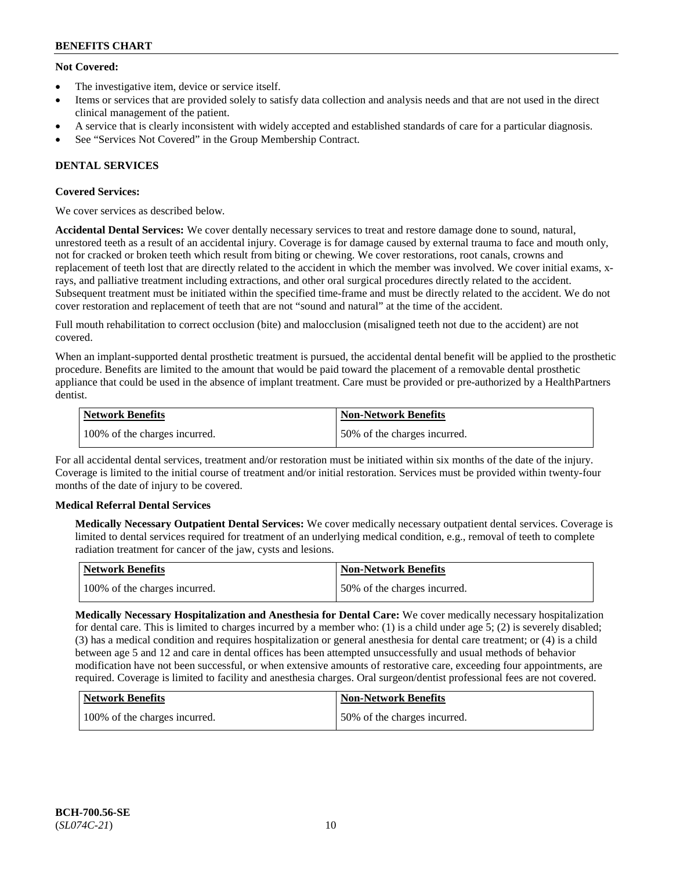## **Not Covered:**

- The investigative item, device or service itself.
- Items or services that are provided solely to satisfy data collection and analysis needs and that are not used in the direct clinical management of the patient.
- A service that is clearly inconsistent with widely accepted and established standards of care for a particular diagnosis.
- See "Services Not Covered" in the Group Membership Contract.

## **DENTAL SERVICES**

## **Covered Services:**

We cover services as described below.

**Accidental Dental Services:** We cover dentally necessary services to treat and restore damage done to sound, natural, unrestored teeth as a result of an accidental injury. Coverage is for damage caused by external trauma to face and mouth only, not for cracked or broken teeth which result from biting or chewing. We cover restorations, root canals, crowns and replacement of teeth lost that are directly related to the accident in which the member was involved. We cover initial exams, xrays, and palliative treatment including extractions, and other oral surgical procedures directly related to the accident. Subsequent treatment must be initiated within the specified time-frame and must be directly related to the accident. We do not cover restoration and replacement of teeth that are not "sound and natural" at the time of the accident.

Full mouth rehabilitation to correct occlusion (bite) and malocclusion (misaligned teeth not due to the accident) are not covered.

When an implant-supported dental prosthetic treatment is pursued, the accidental dental benefit will be applied to the prosthetic procedure. Benefits are limited to the amount that would be paid toward the placement of a removable dental prosthetic appliance that could be used in the absence of implant treatment. Care must be provided or pre-authorized by a HealthPartners dentist.

| Network Benefits              | <b>Non-Network Benefits</b>  |
|-------------------------------|------------------------------|
| 100% of the charges incurred. | 50% of the charges incurred. |

For all accidental dental services, treatment and/or restoration must be initiated within six months of the date of the injury. Coverage is limited to the initial course of treatment and/or initial restoration. Services must be provided within twenty-four months of the date of injury to be covered.

## **Medical Referral Dental Services**

**Medically Necessary Outpatient Dental Services:** We cover medically necessary outpatient dental services. Coverage is limited to dental services required for treatment of an underlying medical condition, e.g., removal of teeth to complete radiation treatment for cancer of the jaw, cysts and lesions.

| Network Benefits              | Non-Network Benefits         |
|-------------------------------|------------------------------|
| 100% of the charges incurred. | 50% of the charges incurred. |

**Medically Necessary Hospitalization and Anesthesia for Dental Care:** We cover medically necessary hospitalization for dental care. This is limited to charges incurred by a member who: (1) is a child under age  $5$ ; (2) is severely disabled; (3) has a medical condition and requires hospitalization or general anesthesia for dental care treatment; or (4) is a child between age 5 and 12 and care in dental offices has been attempted unsuccessfully and usual methods of behavior modification have not been successful, or when extensive amounts of restorative care, exceeding four appointments, are required. Coverage is limited to facility and anesthesia charges. Oral surgeon/dentist professional fees are not covered.

| <b>Network Benefits</b>       | <b>Non-Network Benefits</b>  |
|-------------------------------|------------------------------|
| 100% of the charges incurred. | 50% of the charges incurred. |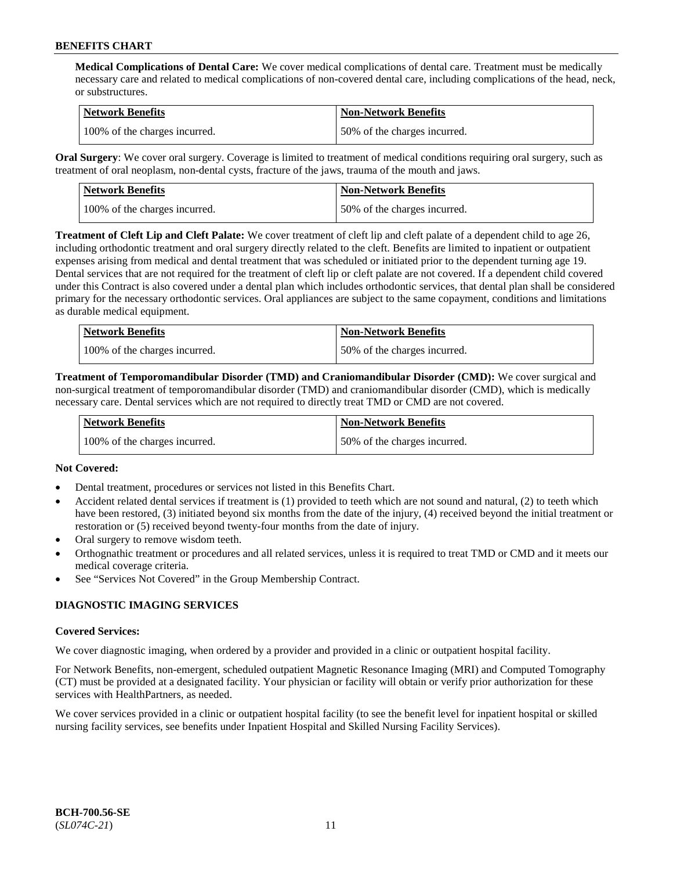**Medical Complications of Dental Care:** We cover medical complications of dental care. Treatment must be medically necessary care and related to medical complications of non-covered dental care, including complications of the head, neck, or substructures.

| Network Benefits              | <b>Non-Network Benefits</b>  |
|-------------------------------|------------------------------|
| 100% of the charges incurred. | 50% of the charges incurred. |

**Oral Surgery**: We cover oral surgery. Coverage is limited to treatment of medical conditions requiring oral surgery, such as treatment of oral neoplasm, non-dental cysts, fracture of the jaws, trauma of the mouth and jaws.

| Network Benefits              | <b>Non-Network Benefits</b>  |
|-------------------------------|------------------------------|
| 100% of the charges incurred. | 50% of the charges incurred. |

**Treatment of Cleft Lip and Cleft Palate:** We cover treatment of cleft lip and cleft palate of a dependent child to age 26, including orthodontic treatment and oral surgery directly related to the cleft. Benefits are limited to inpatient or outpatient expenses arising from medical and dental treatment that was scheduled or initiated prior to the dependent turning age 19. Dental services that are not required for the treatment of cleft lip or cleft palate are not covered. If a dependent child covered under this Contract is also covered under a dental plan which includes orthodontic services, that dental plan shall be considered primary for the necessary orthodontic services. Oral appliances are subject to the same copayment, conditions and limitations as durable medical equipment.

| <b>Network Benefits</b>       | <b>Non-Network Benefits</b>  |
|-------------------------------|------------------------------|
| 100% of the charges incurred. | 50% of the charges incurred. |

**Treatment of Temporomandibular Disorder (TMD) and Craniomandibular Disorder (CMD):** We cover surgical and non-surgical treatment of temporomandibular disorder (TMD) and craniomandibular disorder (CMD), which is medically necessary care. Dental services which are not required to directly treat TMD or CMD are not covered.

| <b>Network Benefits</b>       | <b>Non-Network Benefits</b>  |
|-------------------------------|------------------------------|
| 100% of the charges incurred. | 50% of the charges incurred. |

## **Not Covered:**

- Dental treatment, procedures or services not listed in this Benefits Chart.
- Accident related dental services if treatment is (1) provided to teeth which are not sound and natural, (2) to teeth which have been restored, (3) initiated beyond six months from the date of the injury, (4) received beyond the initial treatment or restoration or (5) received beyond twenty-four months from the date of injury.
- Oral surgery to remove wisdom teeth.
- Orthognathic treatment or procedures and all related services, unless it is required to treat TMD or CMD and it meets our medical coverage criteria.
- See "Services Not Covered" in the Group Membership Contract.

## **DIAGNOSTIC IMAGING SERVICES**

#### **Covered Services:**

We cover diagnostic imaging, when ordered by a provider and provided in a clinic or outpatient hospital facility.

For Network Benefits, non-emergent, scheduled outpatient Magnetic Resonance Imaging (MRI) and Computed Tomography (CT) must be provided at a designated facility. Your physician or facility will obtain or verify prior authorization for these services with HealthPartners, as needed.

We cover services provided in a clinic or outpatient hospital facility (to see the benefit level for inpatient hospital or skilled nursing facility services, see benefits under Inpatient Hospital and Skilled Nursing Facility Services).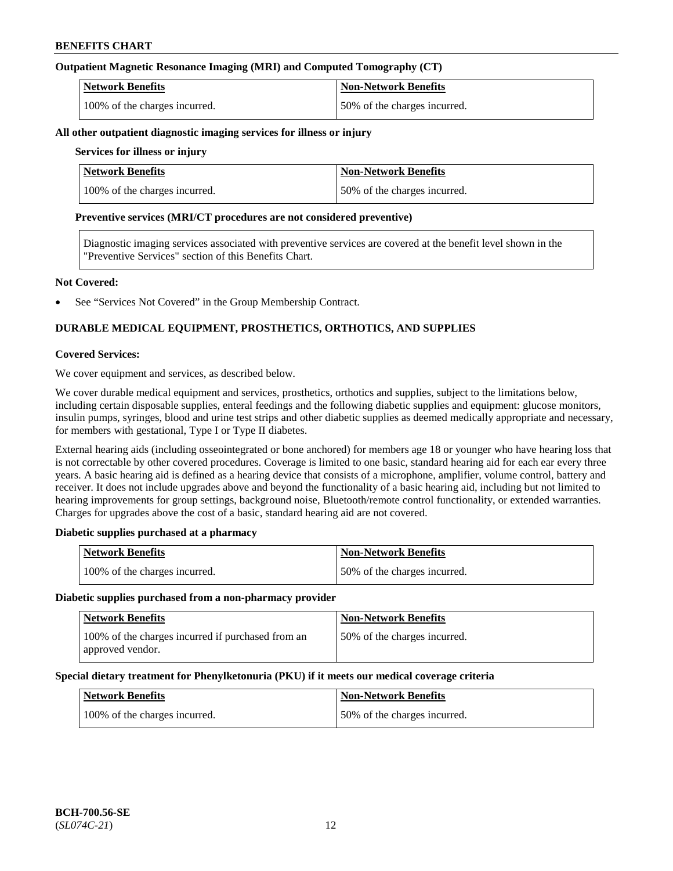## **Outpatient Magnetic Resonance Imaging (MRI) and Computed Tomography (CT)**

| <b>Network Benefits</b>       | <b>Non-Network Benefits</b>  |
|-------------------------------|------------------------------|
| 100% of the charges incurred. | 50% of the charges incurred. |

#### **All other outpatient diagnostic imaging services for illness or injury**

### **Services for illness or injury**

| <b>Network Benefits</b>       | <b>Non-Network Benefits</b>  |
|-------------------------------|------------------------------|
| 100% of the charges incurred. | 50% of the charges incurred. |

#### **Preventive services (MRI/CT procedures are not considered preventive)**

Diagnostic imaging services associated with preventive services are covered at the benefit level shown in the "Preventive Services" section of this Benefits Chart.

#### **Not Covered:**

See "Services Not Covered" in the Group Membership Contract.

## **DURABLE MEDICAL EQUIPMENT, PROSTHETICS, ORTHOTICS, AND SUPPLIES**

#### **Covered Services:**

We cover equipment and services, as described below.

We cover durable medical equipment and services, prosthetics, orthotics and supplies, subject to the limitations below, including certain disposable supplies, enteral feedings and the following diabetic supplies and equipment: glucose monitors, insulin pumps, syringes, blood and urine test strips and other diabetic supplies as deemed medically appropriate and necessary, for members with gestational, Type I or Type II diabetes.

External hearing aids (including osseointegrated or bone anchored) for members age 18 or younger who have hearing loss that is not correctable by other covered procedures. Coverage is limited to one basic, standard hearing aid for each ear every three years. A basic hearing aid is defined as a hearing device that consists of a microphone, amplifier, volume control, battery and receiver. It does not include upgrades above and beyond the functionality of a basic hearing aid, including but not limited to hearing improvements for group settings, background noise, Bluetooth/remote control functionality, or extended warranties. Charges for upgrades above the cost of a basic, standard hearing aid are not covered.

## **Diabetic supplies purchased at a pharmacy**

| <b>Network Benefits</b>       | <b>Non-Network Benefits</b>  |
|-------------------------------|------------------------------|
| 100% of the charges incurred. | 50% of the charges incurred. |

#### **Diabetic supplies purchased from a non-pharmacy provider**

| <b>Network Benefits</b>                                               | <b>Non-Network Benefits</b>  |
|-----------------------------------------------------------------------|------------------------------|
| 100% of the charges incurred if purchased from an<br>approved vendor. | 50% of the charges incurred. |

#### **Special dietary treatment for Phenylketonuria (PKU) if it meets our medical coverage criteria**

| <b>Network Benefits</b>       | <b>Non-Network Benefits</b>  |
|-------------------------------|------------------------------|
| 100% of the charges incurred. | 50% of the charges incurred. |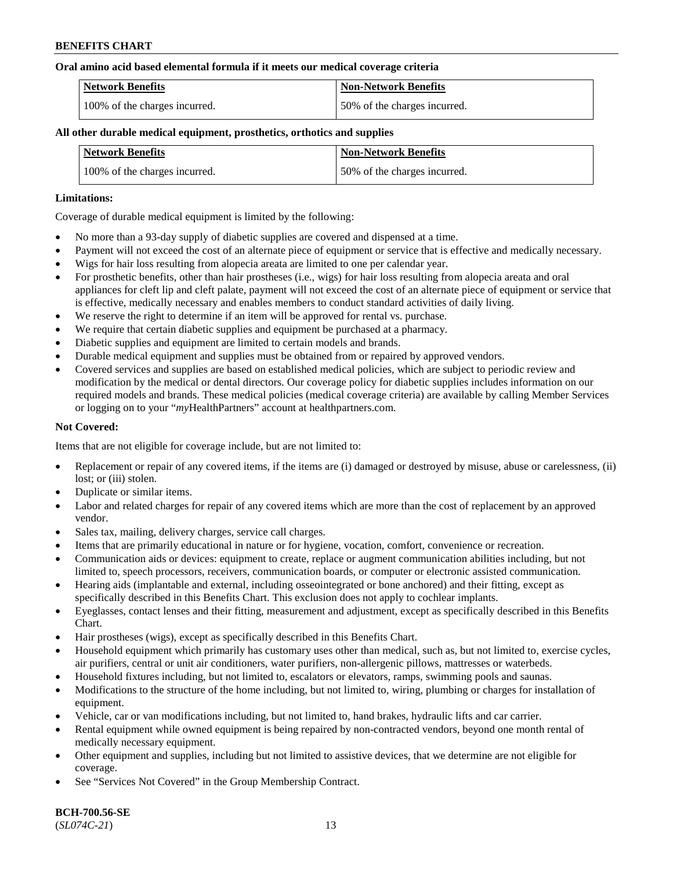#### **Oral amino acid based elemental formula if it meets our medical coverage criteria**

| Network Benefits              | Non-Network Benefits         |
|-------------------------------|------------------------------|
| 100% of the charges incurred. | 50% of the charges incurred. |

### **All other durable medical equipment, prosthetics, orthotics and supplies**

| <b>Network Benefits</b>       | <b>Non-Network Benefits</b>  |
|-------------------------------|------------------------------|
| 100% of the charges incurred. | 50% of the charges incurred. |

#### **Limitations:**

Coverage of durable medical equipment is limited by the following:

- No more than a 93-day supply of diabetic supplies are covered and dispensed at a time.
- Payment will not exceed the cost of an alternate piece of equipment or service that is effective and medically necessary.
- Wigs for hair loss resulting from alopecia areata are limited to one per calendar year.
- For prosthetic benefits, other than hair prostheses (i.e., wigs) for hair loss resulting from alopecia areata and oral appliances for cleft lip and cleft palate, payment will not exceed the cost of an alternate piece of equipment or service that is effective, medically necessary and enables members to conduct standard activities of daily living.
- We reserve the right to determine if an item will be approved for rental vs. purchase.
- We require that certain diabetic supplies and equipment be purchased at a pharmacy.
- Diabetic supplies and equipment are limited to certain models and brands.
- Durable medical equipment and supplies must be obtained from or repaired by approved vendors.
- Covered services and supplies are based on established medical policies, which are subject to periodic review and modification by the medical or dental directors. Our coverage policy for diabetic supplies includes information on our required models and brands. These medical policies (medical coverage criteria) are available by calling Member Services or logging on to your "*my*HealthPartners" account a[t healthpartners.com.](https://www.healthpartners.com/hp/index.html)

## **Not Covered:**

Items that are not eligible for coverage include, but are not limited to:

- Replacement or repair of any covered items, if the items are (i) damaged or destroyed by misuse, abuse or carelessness, (ii) lost; or (iii) stolen.
- Duplicate or similar items.
- Labor and related charges for repair of any covered items which are more than the cost of replacement by an approved vendor.
- Sales tax, mailing, delivery charges, service call charges.
- Items that are primarily educational in nature or for hygiene, vocation, comfort, convenience or recreation.
- Communication aids or devices: equipment to create, replace or augment communication abilities including, but not limited to, speech processors, receivers, communication boards, or computer or electronic assisted communication.
- Hearing aids (implantable and external, including osseointegrated or bone anchored) and their fitting, except as specifically described in this Benefits Chart. This exclusion does not apply to cochlear implants.
- Eyeglasses, contact lenses and their fitting, measurement and adjustment, except as specifically described in this Benefits Chart.
- Hair prostheses (wigs), except as specifically described in this Benefits Chart.
- Household equipment which primarily has customary uses other than medical, such as, but not limited to, exercise cycles, air purifiers, central or unit air conditioners, water purifiers, non-allergenic pillows, mattresses or waterbeds.
- Household fixtures including, but not limited to, escalators or elevators, ramps, swimming pools and saunas.
- Modifications to the structure of the home including, but not limited to, wiring, plumbing or charges for installation of equipment.
- Vehicle, car or van modifications including, but not limited to, hand brakes, hydraulic lifts and car carrier.
- Rental equipment while owned equipment is being repaired by non-contracted vendors, beyond one month rental of medically necessary equipment.
- Other equipment and supplies, including but not limited to assistive devices, that we determine are not eligible for coverage.
- See "Services Not Covered" in the Group Membership Contract.

**BCH-700.56-SE** (*SL074C-21*) 13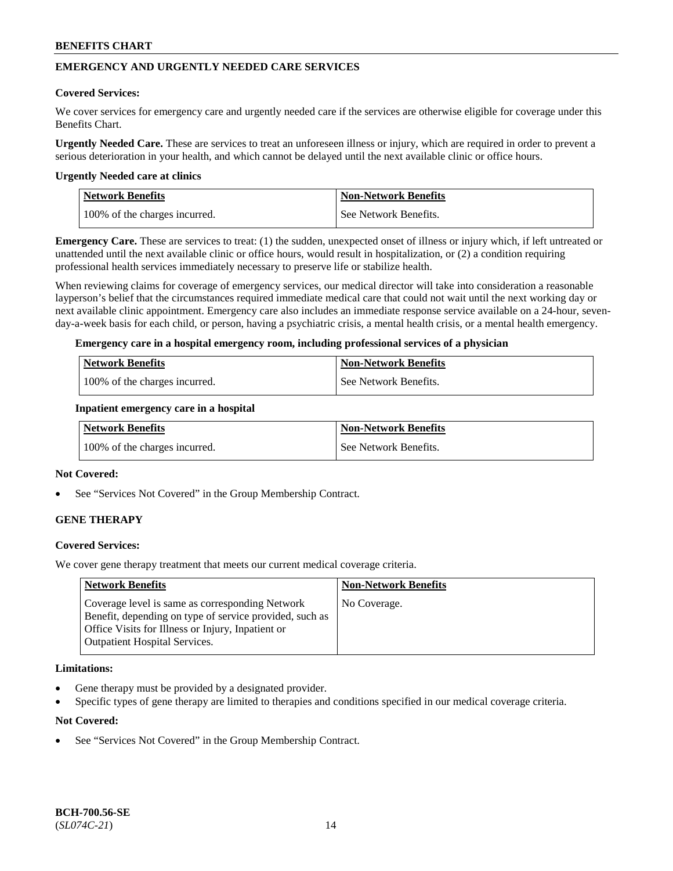## **EMERGENCY AND URGENTLY NEEDED CARE SERVICES**

#### **Covered Services:**

We cover services for emergency care and urgently needed care if the services are otherwise eligible for coverage under this Benefits Chart.

**Urgently Needed Care.** These are services to treat an unforeseen illness or injury, which are required in order to prevent a serious deterioration in your health, and which cannot be delayed until the next available clinic or office hours.

#### **Urgently Needed care at clinics**

| <b>Network Benefits</b>       | <b>Non-Network Benefits</b> |
|-------------------------------|-----------------------------|
| 100% of the charges incurred. | See Network Benefits.       |

**Emergency Care.** These are services to treat: (1) the sudden, unexpected onset of illness or injury which, if left untreated or unattended until the next available clinic or office hours, would result in hospitalization, or (2) a condition requiring professional health services immediately necessary to preserve life or stabilize health.

When reviewing claims for coverage of emergency services, our medical director will take into consideration a reasonable layperson's belief that the circumstances required immediate medical care that could not wait until the next working day or next available clinic appointment. Emergency care also includes an immediate response service available on a 24-hour, sevenday-a-week basis for each child, or person, having a psychiatric crisis, a mental health crisis, or a mental health emergency.

#### **Emergency care in a hospital emergency room, including professional services of a physician**

| <b>Network Benefits</b>       | Non-Network Benefits    |
|-------------------------------|-------------------------|
| 100% of the charges incurred. | l See Network Benefits. |

#### **Inpatient emergency care in a hospital**

| Network Benefits              | <b>Non-Network Benefits</b> |
|-------------------------------|-----------------------------|
| 100% of the charges incurred. | See Network Benefits.       |

#### **Not Covered:**

See "Services Not Covered" in the Group Membership Contract.

## **GENE THERAPY**

## **Covered Services:**

We cover gene therapy treatment that meets our current medical coverage criteria.

| <b>Network Benefits</b>                                                                                                                                                                                 | <b>Non-Network Benefits</b> |
|---------------------------------------------------------------------------------------------------------------------------------------------------------------------------------------------------------|-----------------------------|
| Coverage level is same as corresponding Network<br>Benefit, depending on type of service provided, such as<br>Office Visits for Illness or Injury, Inpatient or<br><b>Outpatient Hospital Services.</b> | No Coverage.                |

#### **Limitations:**

- Gene therapy must be provided by a designated provider.
- Specific types of gene therapy are limited to therapies and conditions specified in our medical coverage criteria.

## **Not Covered:**

See "Services Not Covered" in the Group Membership Contract.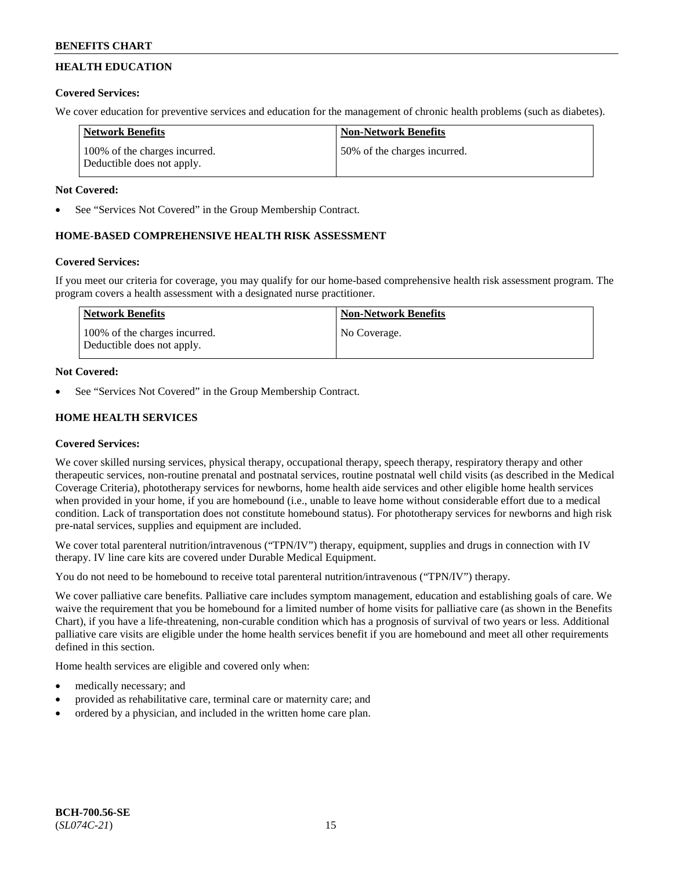## **HEALTH EDUCATION**

## **Covered Services:**

We cover education for preventive services and education for the management of chronic health problems (such as diabetes).

| Network Benefits                                            | <b>Non-Network Benefits</b>   |
|-------------------------------------------------------------|-------------------------------|
| 100% of the charges incurred.<br>Deductible does not apply. | 150% of the charges incurred. |

## **Not Covered:**

See "Services Not Covered" in the Group Membership Contract.

## **HOME-BASED COMPREHENSIVE HEALTH RISK ASSESSMENT**

## **Covered Services:**

If you meet our criteria for coverage, you may qualify for our home-based comprehensive health risk assessment program. The program covers a health assessment with a designated nurse practitioner.

| Network Benefits                                            | <b>Non-Network Benefits</b> |
|-------------------------------------------------------------|-----------------------------|
| 100% of the charges incurred.<br>Deductible does not apply. | No Coverage.                |

## **Not Covered:**

See "Services Not Covered" in the Group Membership Contract.

## **HOME HEALTH SERVICES**

## **Covered Services:**

We cover skilled nursing services, physical therapy, occupational therapy, speech therapy, respiratory therapy and other therapeutic services, non-routine prenatal and postnatal services, routine postnatal well child visits (as described in the Medical Coverage Criteria), phototherapy services for newborns, home health aide services and other eligible home health services when provided in your home, if you are homebound (i.e., unable to leave home without considerable effort due to a medical condition. Lack of transportation does not constitute homebound status). For phototherapy services for newborns and high risk pre-natal services, supplies and equipment are included.

We cover total parenteral nutrition/intravenous ("TPN/IV") therapy, equipment, supplies and drugs in connection with IV therapy. IV line care kits are covered under Durable Medical Equipment.

You do not need to be homebound to receive total parenteral nutrition/intravenous ("TPN/IV") therapy.

We cover palliative care benefits. Palliative care includes symptom management, education and establishing goals of care. We waive the requirement that you be homebound for a limited number of home visits for palliative care (as shown in the Benefits Chart), if you have a life-threatening, non-curable condition which has a prognosis of survival of two years or less. Additional palliative care visits are eligible under the home health services benefit if you are homebound and meet all other requirements defined in this section.

Home health services are eligible and covered only when:

- medically necessary; and
- provided as rehabilitative care, terminal care or maternity care; and
- ordered by a physician, and included in the written home care plan.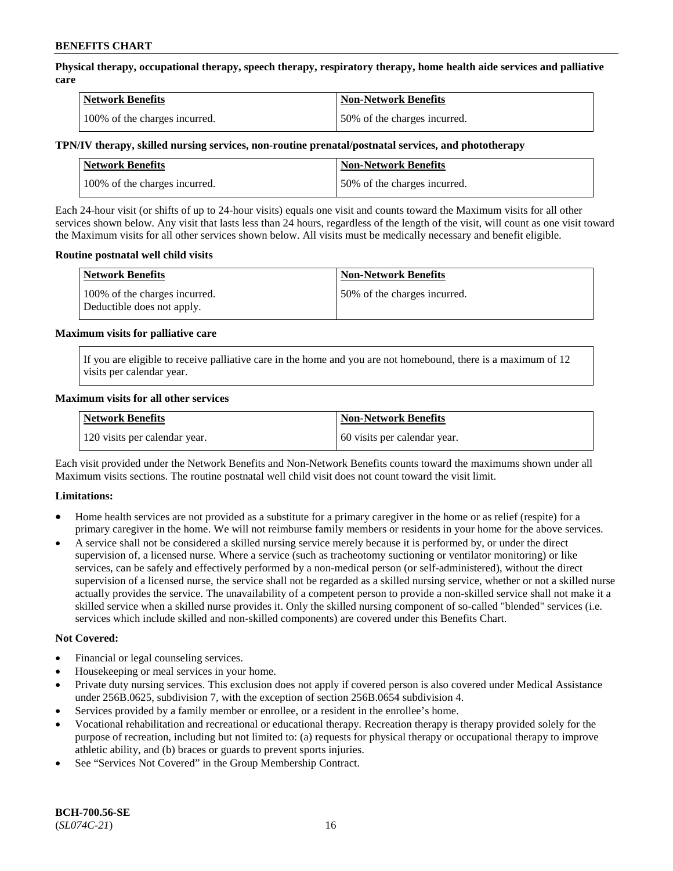**Physical therapy, occupational therapy, speech therapy, respiratory therapy, home health aide services and palliative care**

| <b>Network Benefits</b>       | <b>Non-Network Benefits</b>  |
|-------------------------------|------------------------------|
| 100% of the charges incurred. | 50% of the charges incurred. |

## **TPN/IV therapy, skilled nursing services, non-routine prenatal/postnatal services, and phototherapy**

| <b>Network Benefits</b>       | <b>Non-Network Benefits</b>  |
|-------------------------------|------------------------------|
| 100% of the charges incurred. | 50% of the charges incurred. |

Each 24-hour visit (or shifts of up to 24-hour visits) equals one visit and counts toward the Maximum visits for all other services shown below. Any visit that lasts less than 24 hours, regardless of the length of the visit, will count as one visit toward the Maximum visits for all other services shown below. All visits must be medically necessary and benefit eligible.

#### **Routine postnatal well child visits**

| <b>Network Benefits</b>                                     | <b>Non-Network Benefits</b>  |
|-------------------------------------------------------------|------------------------------|
| 100% of the charges incurred.<br>Deductible does not apply. | 50% of the charges incurred. |

#### **Maximum visits for palliative care**

If you are eligible to receive palliative care in the home and you are not homebound, there is a maximum of 12 visits per calendar year.

#### **Maximum visits for all other services**

| <b>Network Benefits</b>       | <b>Non-Network Benefits</b>  |
|-------------------------------|------------------------------|
| 120 visits per calendar year. | 60 visits per calendar year. |

Each visit provided under the Network Benefits and Non-Network Benefits counts toward the maximums shown under all Maximum visits sections. The routine postnatal well child visit does not count toward the visit limit.

## **Limitations:**

- Home health services are not provided as a substitute for a primary caregiver in the home or as relief (respite) for a primary caregiver in the home. We will not reimburse family members or residents in your home for the above services.
- A service shall not be considered a skilled nursing service merely because it is performed by, or under the direct supervision of, a licensed nurse. Where a service (such as tracheotomy suctioning or ventilator monitoring) or like services, can be safely and effectively performed by a non-medical person (or self-administered), without the direct supervision of a licensed nurse, the service shall not be regarded as a skilled nursing service, whether or not a skilled nurse actually provides the service. The unavailability of a competent person to provide a non-skilled service shall not make it a skilled service when a skilled nurse provides it. Only the skilled nursing component of so-called "blended" services (i.e. services which include skilled and non-skilled components) are covered under this Benefits Chart.

#### **Not Covered:**

- Financial or legal counseling services.
- Housekeeping or meal services in your home.
- Private duty nursing services. This exclusion does not apply if covered person is also covered under Medical Assistance under 256B.0625, subdivision 7, with the exception of section 256B.0654 subdivision 4.
- Services provided by a family member or enrollee, or a resident in the enrollee's home.
- Vocational rehabilitation and recreational or educational therapy. Recreation therapy is therapy provided solely for the purpose of recreation, including but not limited to: (a) requests for physical therapy or occupational therapy to improve athletic ability, and (b) braces or guards to prevent sports injuries.
- See "Services Not Covered" in the Group Membership Contract.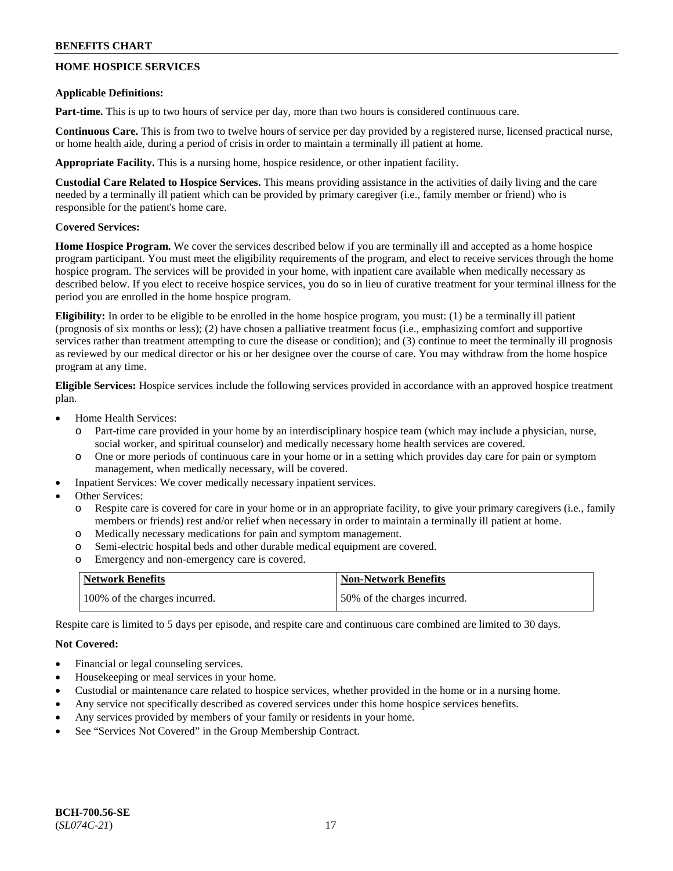## **HOME HOSPICE SERVICES**

### **Applicable Definitions:**

**Part-time.** This is up to two hours of service per day, more than two hours is considered continuous care.

**Continuous Care.** This is from two to twelve hours of service per day provided by a registered nurse, licensed practical nurse, or home health aide, during a period of crisis in order to maintain a terminally ill patient at home.

**Appropriate Facility.** This is a nursing home, hospice residence, or other inpatient facility.

**Custodial Care Related to Hospice Services.** This means providing assistance in the activities of daily living and the care needed by a terminally ill patient which can be provided by primary caregiver (i.e., family member or friend) who is responsible for the patient's home care.

## **Covered Services:**

**Home Hospice Program.** We cover the services described below if you are terminally ill and accepted as a home hospice program participant. You must meet the eligibility requirements of the program, and elect to receive services through the home hospice program. The services will be provided in your home, with inpatient care available when medically necessary as described below. If you elect to receive hospice services, you do so in lieu of curative treatment for your terminal illness for the period you are enrolled in the home hospice program.

**Eligibility:** In order to be eligible to be enrolled in the home hospice program, you must: (1) be a terminally ill patient (prognosis of six months or less); (2) have chosen a palliative treatment focus (i.e., emphasizing comfort and supportive services rather than treatment attempting to cure the disease or condition); and (3) continue to meet the terminally ill prognosis as reviewed by our medical director or his or her designee over the course of care. You may withdraw from the home hospice program at any time.

**Eligible Services:** Hospice services include the following services provided in accordance with an approved hospice treatment plan.

- Home Health Services:
	- o Part-time care provided in your home by an interdisciplinary hospice team (which may include a physician, nurse, social worker, and spiritual counselor) and medically necessary home health services are covered.
	- o One or more periods of continuous care in your home or in a setting which provides day care for pain or symptom management, when medically necessary, will be covered.
- Inpatient Services: We cover medically necessary inpatient services.
- Other Services:
	- o Respite care is covered for care in your home or in an appropriate facility, to give your primary caregivers (i.e., family members or friends) rest and/or relief when necessary in order to maintain a terminally ill patient at home.
	- o Medically necessary medications for pain and symptom management.
	- o Semi-electric hospital beds and other durable medical equipment are covered.
	- o Emergency and non-emergency care is covered.

| <b>Network Benefits</b>       | <b>Non-Network Benefits</b>  |
|-------------------------------|------------------------------|
| 100% of the charges incurred. | 50% of the charges incurred. |

Respite care is limited to 5 days per episode, and respite care and continuous care combined are limited to 30 days.

## **Not Covered:**

- Financial or legal counseling services.
- Housekeeping or meal services in your home.
- Custodial or maintenance care related to hospice services, whether provided in the home or in a nursing home.
- Any service not specifically described as covered services under this home hospice services benefits.
- Any services provided by members of your family or residents in your home.
- See "Services Not Covered" in the Group Membership Contract.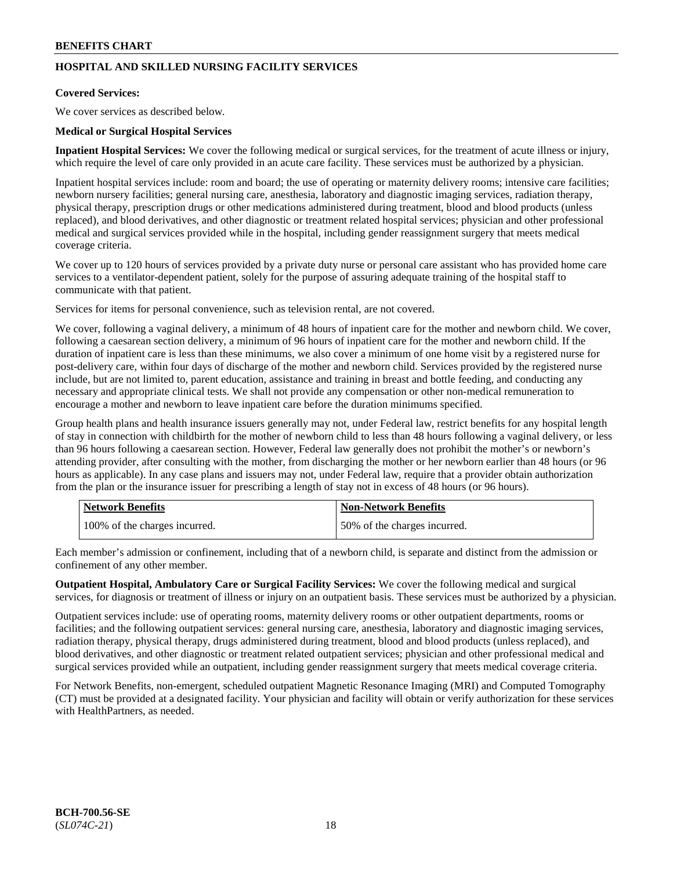## **HOSPITAL AND SKILLED NURSING FACILITY SERVICES**

## **Covered Services:**

We cover services as described below.

### **Medical or Surgical Hospital Services**

**Inpatient Hospital Services:** We cover the following medical or surgical services, for the treatment of acute illness or injury, which require the level of care only provided in an acute care facility. These services must be authorized by a physician.

Inpatient hospital services include: room and board; the use of operating or maternity delivery rooms; intensive care facilities; newborn nursery facilities; general nursing care, anesthesia, laboratory and diagnostic imaging services, radiation therapy, physical therapy, prescription drugs or other medications administered during treatment, blood and blood products (unless replaced), and blood derivatives, and other diagnostic or treatment related hospital services; physician and other professional medical and surgical services provided while in the hospital, including gender reassignment surgery that meets medical coverage criteria.

We cover up to 120 hours of services provided by a private duty nurse or personal care assistant who has provided home care services to a ventilator-dependent patient, solely for the purpose of assuring adequate training of the hospital staff to communicate with that patient.

Services for items for personal convenience, such as television rental, are not covered.

We cover, following a vaginal delivery, a minimum of 48 hours of inpatient care for the mother and newborn child. We cover, following a caesarean section delivery, a minimum of 96 hours of inpatient care for the mother and newborn child. If the duration of inpatient care is less than these minimums, we also cover a minimum of one home visit by a registered nurse for post-delivery care, within four days of discharge of the mother and newborn child. Services provided by the registered nurse include, but are not limited to, parent education, assistance and training in breast and bottle feeding, and conducting any necessary and appropriate clinical tests. We shall not provide any compensation or other non-medical remuneration to encourage a mother and newborn to leave inpatient care before the duration minimums specified.

Group health plans and health insurance issuers generally may not, under Federal law, restrict benefits for any hospital length of stay in connection with childbirth for the mother of newborn child to less than 48 hours following a vaginal delivery, or less than 96 hours following a caesarean section. However, Federal law generally does not prohibit the mother's or newborn's attending provider, after consulting with the mother, from discharging the mother or her newborn earlier than 48 hours (or 96 hours as applicable). In any case plans and issuers may not, under Federal law, require that a provider obtain authorization from the plan or the insurance issuer for prescribing a length of stay not in excess of 48 hours (or 96 hours).

| <b>Network Benefits</b>       | Non-Network Benefits         |
|-------------------------------|------------------------------|
| 100% of the charges incurred. | 50% of the charges incurred. |

Each member's admission or confinement, including that of a newborn child, is separate and distinct from the admission or confinement of any other member.

**Outpatient Hospital, Ambulatory Care or Surgical Facility Services:** We cover the following medical and surgical services, for diagnosis or treatment of illness or injury on an outpatient basis. These services must be authorized by a physician.

Outpatient services include: use of operating rooms, maternity delivery rooms or other outpatient departments, rooms or facilities; and the following outpatient services: general nursing care, anesthesia, laboratory and diagnostic imaging services, radiation therapy, physical therapy, drugs administered during treatment, blood and blood products (unless replaced), and blood derivatives, and other diagnostic or treatment related outpatient services; physician and other professional medical and surgical services provided while an outpatient, including gender reassignment surgery that meets medical coverage criteria.

For Network Benefits, non-emergent, scheduled outpatient Magnetic Resonance Imaging (MRI) and Computed Tomography (CT) must be provided at a designated facility. Your physician and facility will obtain or verify authorization for these services with HealthPartners, as needed.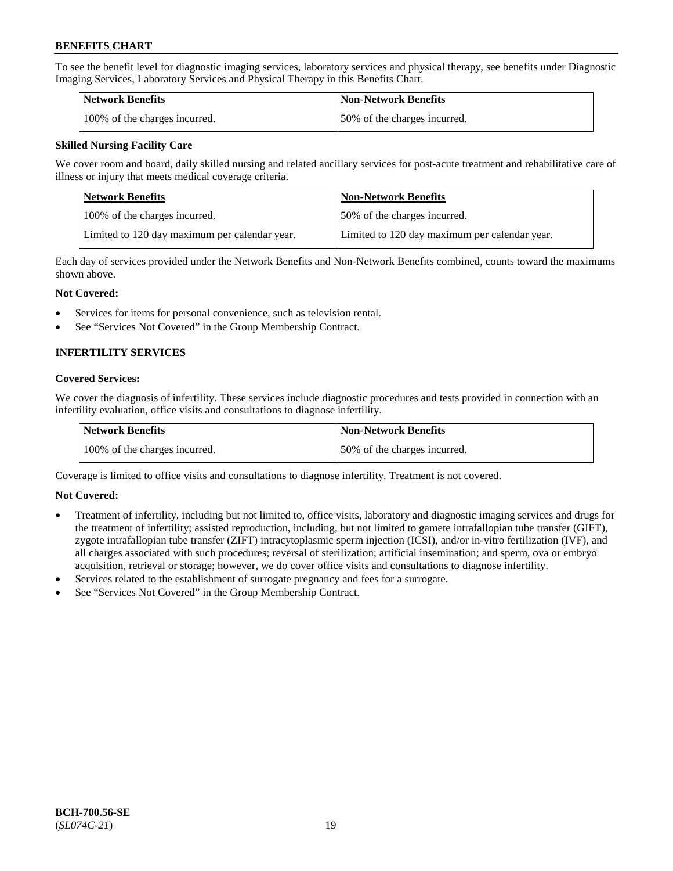To see the benefit level for diagnostic imaging services, laboratory services and physical therapy, see benefits under Diagnostic Imaging Services, Laboratory Services and Physical Therapy in this Benefits Chart.

| <b>Network Benefits</b>       | <b>Non-Network Benefits</b>  |
|-------------------------------|------------------------------|
| 100% of the charges incurred. | 50% of the charges incurred. |

## **Skilled Nursing Facility Care**

We cover room and board, daily skilled nursing and related ancillary services for post-acute treatment and rehabilitative care of illness or injury that meets medical coverage criteria.

| Network Benefits                              | <b>Non-Network Benefits</b>                   |
|-----------------------------------------------|-----------------------------------------------|
| 100\% of the charges incurred.                | 50% of the charges incurred.                  |
| Limited to 120 day maximum per calendar year. | Limited to 120 day maximum per calendar year. |

Each day of services provided under the Network Benefits and Non-Network Benefits combined, counts toward the maximums shown above.

#### **Not Covered:**

- Services for items for personal convenience, such as television rental.
- See "Services Not Covered" in the Group Membership Contract.

## **INFERTILITY SERVICES**

#### **Covered Services:**

We cover the diagnosis of infertility. These services include diagnostic procedures and tests provided in connection with an infertility evaluation, office visits and consultations to diagnose infertility.

| Network Benefits              | <b>Non-Network Benefits</b>  |
|-------------------------------|------------------------------|
| 100% of the charges incurred. | 50% of the charges incurred. |

Coverage is limited to office visits and consultations to diagnose infertility. Treatment is not covered.

## **Not Covered:**

- Treatment of infertility, including but not limited to, office visits, laboratory and diagnostic imaging services and drugs for the treatment of infertility; assisted reproduction, including, but not limited to gamete intrafallopian tube transfer (GIFT), zygote intrafallopian tube transfer (ZIFT) intracytoplasmic sperm injection (ICSI), and/or in-vitro fertilization (IVF), and all charges associated with such procedures; reversal of sterilization; artificial insemination; and sperm, ova or embryo acquisition, retrieval or storage; however, we do cover office visits and consultations to diagnose infertility.
- Services related to the establishment of surrogate pregnancy and fees for a surrogate.
- See "Services Not Covered" in the Group Membership Contract.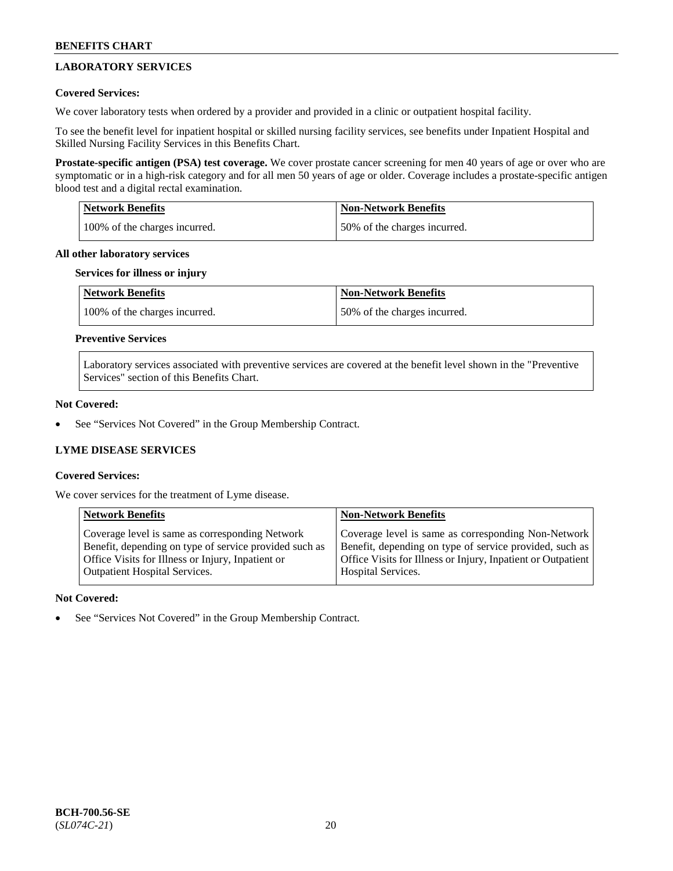## **LABORATORY SERVICES**

## **Covered Services:**

We cover laboratory tests when ordered by a provider and provided in a clinic or outpatient hospital facility.

To see the benefit level for inpatient hospital or skilled nursing facility services, see benefits under Inpatient Hospital and Skilled Nursing Facility Services in this Benefits Chart.

**Prostate-specific antigen (PSA) test coverage.** We cover prostate cancer screening for men 40 years of age or over who are symptomatic or in a high-risk category and for all men 50 years of age or older. Coverage includes a prostate-specific antigen blood test and a digital rectal examination.

| <b>Network Benefits</b>       | <b>Non-Network Benefits</b>  |
|-------------------------------|------------------------------|
| 100% of the charges incurred. | 50% of the charges incurred. |

#### **All other laboratory services**

#### **Services for illness or injury**

| Network Benefits              | <b>Non-Network Benefits</b>  |
|-------------------------------|------------------------------|
| 100% of the charges incurred. | 50% of the charges incurred. |

## **Preventive Services**

Laboratory services associated with preventive services are covered at the benefit level shown in the "Preventive Services" section of this Benefits Chart.

## **Not Covered:**

See "Services Not Covered" in the Group Membership Contract.

## **LYME DISEASE SERVICES**

## **Covered Services:**

We cover services for the treatment of Lyme disease.

| <b>Network Benefits</b>                                | <b>Non-Network Benefits</b>                                  |
|--------------------------------------------------------|--------------------------------------------------------------|
| Coverage level is same as corresponding Network        | Coverage level is same as corresponding Non-Network          |
| Benefit, depending on type of service provided such as | Benefit, depending on type of service provided, such as      |
| Office Visits for Illness or Injury, Inpatient or      | Office Visits for Illness or Injury, Inpatient or Outpatient |
| <b>Outpatient Hospital Services.</b>                   | Hospital Services.                                           |

## **Not Covered:**

See "Services Not Covered" in the Group Membership Contract.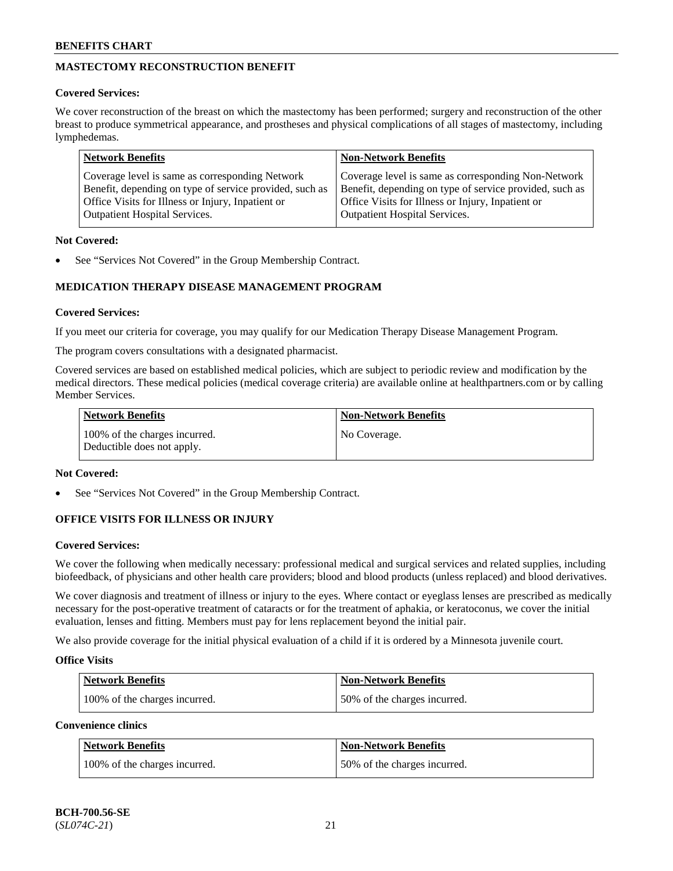## **MASTECTOMY RECONSTRUCTION BENEFIT**

## **Covered Services:**

We cover reconstruction of the breast on which the mastectomy has been performed; surgery and reconstruction of the other breast to produce symmetrical appearance, and prostheses and physical complications of all stages of mastectomy, including lymphedemas.

| <b>Network Benefits</b>                                 | <b>Non-Network Benefits</b>                             |
|---------------------------------------------------------|---------------------------------------------------------|
| Coverage level is same as corresponding Network         | Coverage level is same as corresponding Non-Network     |
| Benefit, depending on type of service provided, such as | Benefit, depending on type of service provided, such as |
| Office Visits for Illness or Injury, Inpatient or       | Office Visits for Illness or Injury, Inpatient or       |
| <b>Outpatient Hospital Services.</b>                    | <b>Outpatient Hospital Services.</b>                    |

## **Not Covered:**

See "Services Not Covered" in the Group Membership Contract.

## **MEDICATION THERAPY DISEASE MANAGEMENT PROGRAM**

## **Covered Services:**

If you meet our criteria for coverage, you may qualify for our Medication Therapy Disease Management Program.

The program covers consultations with a designated pharmacist.

Covered services are based on established medical policies, which are subject to periodic review and modification by the medical directors. These medical policies (medical coverage criteria) are available online at [healthpartners.com](https://www.healthpartners.com/hp/index.html) or by calling Member Services.

| Network Benefits                                            | <b>Non-Network Benefits</b> |
|-------------------------------------------------------------|-----------------------------|
| 100% of the charges incurred.<br>Deductible does not apply. | No Coverage.                |

## **Not Covered:**

See "Services Not Covered" in the Group Membership Contract.

## **OFFICE VISITS FOR ILLNESS OR INJURY**

## **Covered Services:**

We cover the following when medically necessary: professional medical and surgical services and related supplies, including biofeedback, of physicians and other health care providers; blood and blood products (unless replaced) and blood derivatives.

We cover diagnosis and treatment of illness or injury to the eyes. Where contact or eyeglass lenses are prescribed as medically necessary for the post-operative treatment of cataracts or for the treatment of aphakia, or keratoconus, we cover the initial evaluation, lenses and fitting. Members must pay for lens replacement beyond the initial pair.

We also provide coverage for the initial physical evaluation of a child if it is ordered by a Minnesota juvenile court.

## **Office Visits**

| <b>Network Benefits</b>       | <b>Non-Network Benefits</b>  |
|-------------------------------|------------------------------|
| 100% of the charges incurred. | 50% of the charges incurred. |

**Convenience clinics**

| Network Benefits              | <b>Non-Network Benefits</b>  |
|-------------------------------|------------------------------|
| 100% of the charges incurred. | 50% of the charges incurred. |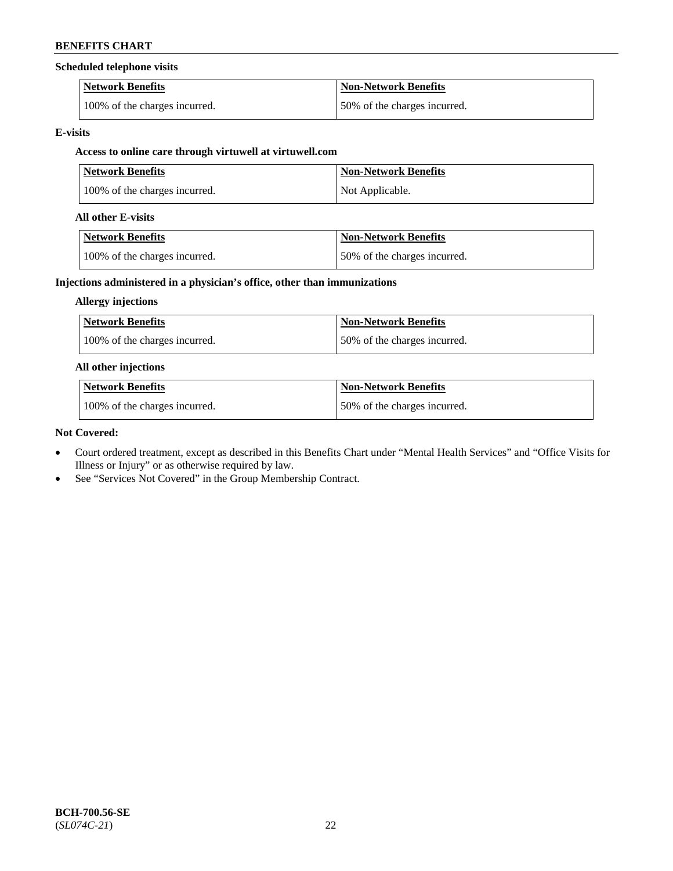#### **Scheduled telephone visits**

| <b>Network Benefits</b>       | Non-Network Benefits         |
|-------------------------------|------------------------------|
| 100% of the charges incurred. | 50% of the charges incurred. |

#### **E-visits**

## **Access to online care through virtuwell at [virtuwell.com](https://www.virtuwell.com/)**

| <b>Network Benefits</b>       | <b>Non-Network Benefits</b> |
|-------------------------------|-----------------------------|
| 100% of the charges incurred. | Not Applicable.             |

#### **All other E-visits**

| Network Benefits              | <b>Non-Network Benefits</b>  |
|-------------------------------|------------------------------|
| 100% of the charges incurred. | 50% of the charges incurred. |

## **Injections administered in a physician's office, other than immunizations**

### **Allergy injections**

| Network Benefits              | <b>Non-Network Benefits</b>  |
|-------------------------------|------------------------------|
| 100% of the charges incurred. | 50% of the charges incurred. |

### **All other injections**

| <b>Network Benefits</b>       | <b>Non-Network Benefits</b>  |
|-------------------------------|------------------------------|
| 100% of the charges incurred. | 50% of the charges incurred. |

#### **Not Covered:**

- Court ordered treatment, except as described in this Benefits Chart under "Mental Health Services" and "Office Visits for Illness or Injury" or as otherwise required by law.
- See "Services Not Covered" in the Group Membership Contract.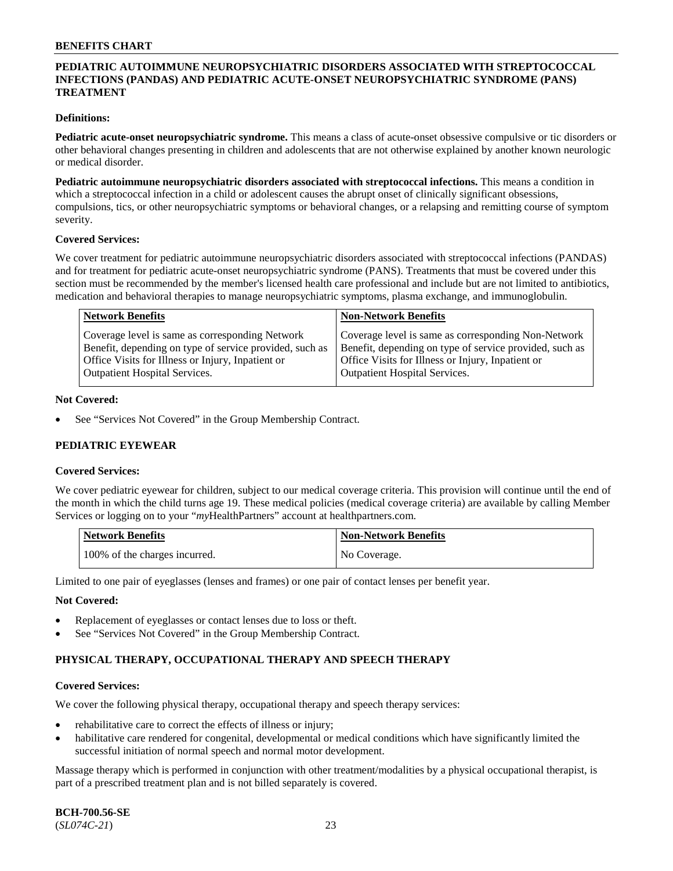## **PEDIATRIC AUTOIMMUNE NEUROPSYCHIATRIC DISORDERS ASSOCIATED WITH STREPTOCOCCAL INFECTIONS (PANDAS) AND PEDIATRIC ACUTE-ONSET NEUROPSYCHIATRIC SYNDROME (PANS) TREATMENT**

### **Definitions:**

**Pediatric acute-onset neuropsychiatric syndrome.** This means a class of acute-onset obsessive compulsive or tic disorders or other behavioral changes presenting in children and adolescents that are not otherwise explained by another known neurologic or medical disorder.

**Pediatric autoimmune neuropsychiatric disorders associated with streptococcal infections.** This means a condition in which a streptococcal infection in a child or adolescent causes the abrupt onset of clinically significant obsessions, compulsions, tics, or other neuropsychiatric symptoms or behavioral changes, or a relapsing and remitting course of symptom severity.

#### **Covered Services:**

We cover treatment for pediatric autoimmune neuropsychiatric disorders associated with streptococcal infections (PANDAS) and for treatment for pediatric acute-onset neuropsychiatric syndrome (PANS). Treatments that must be covered under this section must be recommended by the member's licensed health care professional and include but are not limited to antibiotics, medication and behavioral therapies to manage neuropsychiatric symptoms, plasma exchange, and immunoglobulin.

| <b>Network Benefits</b>                                                                                                                                         | <b>Non-Network Benefits</b>                                                                                                                                         |
|-----------------------------------------------------------------------------------------------------------------------------------------------------------------|---------------------------------------------------------------------------------------------------------------------------------------------------------------------|
| Coverage level is same as corresponding Network<br>Benefit, depending on type of service provided, such as<br>Office Visits for Illness or Injury, Inpatient or | Coverage level is same as corresponding Non-Network<br>Benefit, depending on type of service provided, such as<br>Office Visits for Illness or Injury, Inpatient or |
| <b>Outpatient Hospital Services.</b>                                                                                                                            | <b>Outpatient Hospital Services.</b>                                                                                                                                |

#### **Not Covered:**

See "Services Not Covered" in the Group Membership Contract.

## **PEDIATRIC EYEWEAR**

#### **Covered Services:**

We cover pediatric eyewear for children, subject to our medical coverage criteria. This provision will continue until the end of the month in which the child turns age 19. These medical policies (medical coverage criteria) are available by calling Member Services or logging on to your "*my*HealthPartners" account at [healthpartners.com.](https://www.healthpartners.com/hp/index.html)

| Network Benefits              | <b>Non-Network Benefits</b> |
|-------------------------------|-----------------------------|
| 100% of the charges incurred. | No Coverage.                |

Limited to one pair of eyeglasses (lenses and frames) or one pair of contact lenses per benefit year.

#### **Not Covered:**

- Replacement of eyeglasses or contact lenses due to loss or theft.
- See "Services Not Covered" in the Group Membership Contract.

## **PHYSICAL THERAPY, OCCUPATIONAL THERAPY AND SPEECH THERAPY**

#### **Covered Services:**

We cover the following physical therapy, occupational therapy and speech therapy services:

- rehabilitative care to correct the effects of illness or injury;
- habilitative care rendered for congenital, developmental or medical conditions which have significantly limited the successful initiation of normal speech and normal motor development.

Massage therapy which is performed in conjunction with other treatment/modalities by a physical occupational therapist, is part of a prescribed treatment plan and is not billed separately is covered.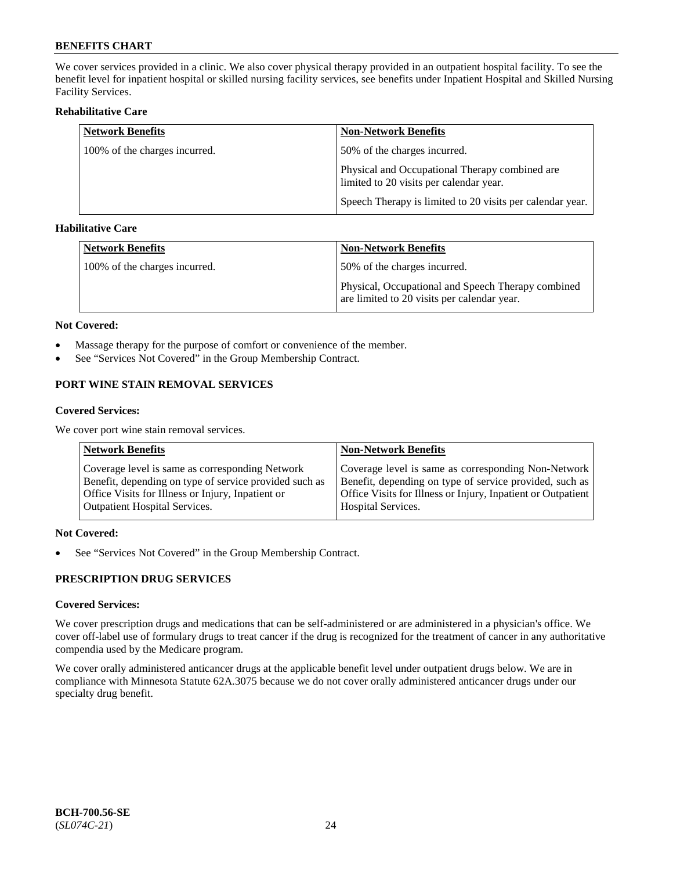We cover services provided in a clinic. We also cover physical therapy provided in an outpatient hospital facility. To see the benefit level for inpatient hospital or skilled nursing facility services, see benefits under Inpatient Hospital and Skilled Nursing Facility Services.

## **Rehabilitative Care**

| <b>Network Benefits</b>       | <b>Non-Network Benefits</b>                                                               |
|-------------------------------|-------------------------------------------------------------------------------------------|
| 100% of the charges incurred. | 50% of the charges incurred.                                                              |
|                               | Physical and Occupational Therapy combined are<br>limited to 20 visits per calendar year. |
|                               | Speech Therapy is limited to 20 visits per calendar year.                                 |

## **Habilitative Care**

| <b>Network Benefits</b>       | <b>Non-Network Benefits</b>                                                                       |
|-------------------------------|---------------------------------------------------------------------------------------------------|
| 100% of the charges incurred. | 50% of the charges incurred.                                                                      |
|                               | Physical, Occupational and Speech Therapy combined<br>are limited to 20 visits per calendar year. |

#### **Not Covered:**

- Massage therapy for the purpose of comfort or convenience of the member.
- See "Services Not Covered" in the Group Membership Contract.

## **PORT WINE STAIN REMOVAL SERVICES**

#### **Covered Services:**

We cover port wine stain removal services.

| <b>Network Benefits</b>                                | <b>Non-Network Benefits</b>                                  |
|--------------------------------------------------------|--------------------------------------------------------------|
| Coverage level is same as corresponding Network        | Coverage level is same as corresponding Non-Network          |
| Benefit, depending on type of service provided such as | Benefit, depending on type of service provided, such as      |
| Office Visits for Illness or Injury, Inpatient or      | Office Visits for Illness or Injury, Inpatient or Outpatient |
| <b>Outpatient Hospital Services.</b>                   | <b>Hospital Services.</b>                                    |

## **Not Covered:**

• See "Services Not Covered" in the Group Membership Contract.

## **PRESCRIPTION DRUG SERVICES**

## **Covered Services:**

We cover prescription drugs and medications that can be self-administered or are administered in a physician's office. We cover off-label use of formulary drugs to treat cancer if the drug is recognized for the treatment of cancer in any authoritative compendia used by the Medicare program.

We cover orally administered anticancer drugs at the applicable benefit level under outpatient drugs below. We are in compliance with Minnesota Statute 62A.3075 because we do not cover orally administered anticancer drugs under our specialty drug benefit.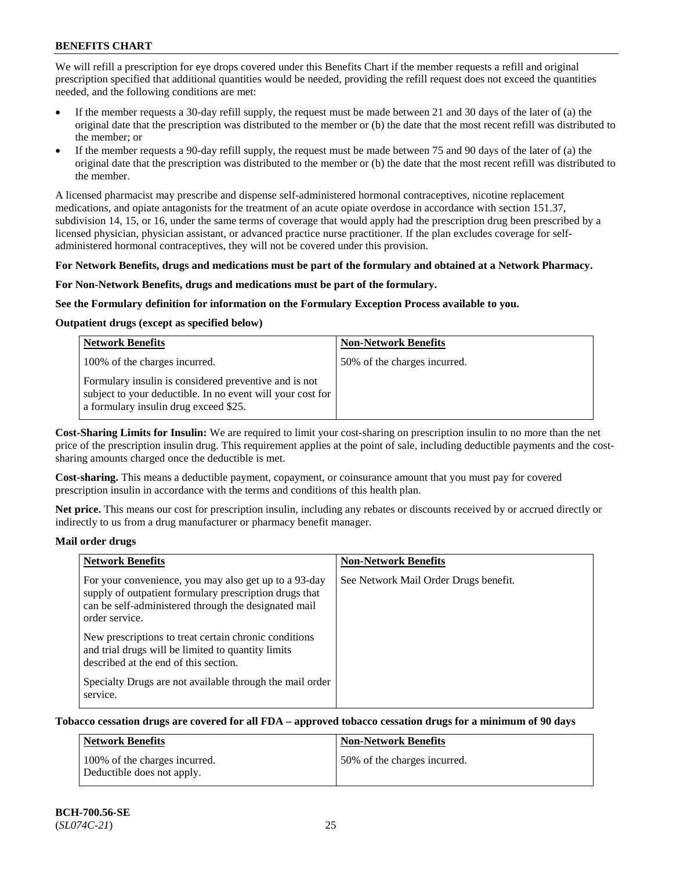We will refill a prescription for eye drops covered under this Benefits Chart if the member requests a refill and original prescription specified that additional quantities would be needed, providing the refill request does not exceed the quantities needed, and the following conditions are met:

- If the member requests a 30-day refill supply, the request must be made between 21 and 30 days of the later of (a) the original date that the prescription was distributed to the member or (b) the date that the most recent refill was distributed to the member; or
- If the member requests a 90-day refill supply, the request must be made between 75 and 90 days of the later of (a) the original date that the prescription was distributed to the member or (b) the date that the most recent refill was distributed to the member.

A licensed pharmacist may prescribe and dispense self-administered hormonal contraceptives, nicotine replacement medications, and opiate antagonists for the treatment of an acute opiate overdose in accordance with section 151.37, subdivision 14, 15, or 16, under the same terms of coverage that would apply had the prescription drug been prescribed by a licensed physician, physician assistant, or advanced practice nurse practitioner. If the plan excludes coverage for selfadministered hormonal contraceptives, they will not be covered under this provision.

#### **For Network Benefits, drugs and medications must be part of the formulary and obtained at a Network Pharmacy.**

#### **For Non-Network Benefits, drugs and medications must be part of the formulary.**

#### **See the Formulary definition for information on the Formulary Exception Process available to you.**

## **Outpatient drugs (except as specified below)**

| <b>Network Benefits</b>                                                                                                                                      | <b>Non-Network Benefits</b>  |
|--------------------------------------------------------------------------------------------------------------------------------------------------------------|------------------------------|
| 100% of the charges incurred.                                                                                                                                | 50% of the charges incurred. |
| Formulary insulin is considered preventive and is not<br>subject to your deductible. In no event will your cost for<br>a formulary insulin drug exceed \$25. |                              |

**Cost-Sharing Limits for Insulin:** We are required to limit your cost-sharing on prescription insulin to no more than the net price of the prescription insulin drug. This requirement applies at the point of sale, including deductible payments and the costsharing amounts charged once the deductible is met.

**Cost-sharing.** This means a deductible payment, copayment, or coinsurance amount that you must pay for covered prescription insulin in accordance with the terms and conditions of this health plan.

**Net price.** This means our cost for prescription insulin, including any rebates or discounts received by or accrued directly or indirectly to us from a drug manufacturer or pharmacy benefit manager.

#### **Mail order drugs**

| <b>Network Benefits</b>                                                                                                                                                                   | <b>Non-Network Benefits</b>           |
|-------------------------------------------------------------------------------------------------------------------------------------------------------------------------------------------|---------------------------------------|
| For your convenience, you may also get up to a 93-day<br>supply of outpatient formulary prescription drugs that<br>can be self-administered through the designated mail<br>order service. | See Network Mail Order Drugs benefit. |
| New prescriptions to treat certain chronic conditions<br>and trial drugs will be limited to quantity limits<br>described at the end of this section.                                      |                                       |
| Specialty Drugs are not available through the mail order<br>service.                                                                                                                      |                                       |

## **Tobacco cessation drugs are covered for all FDA – approved tobacco cessation drugs for a minimum of 90 days**

| Network Benefits                                            | <b>Non-Network Benefits</b>  |
|-------------------------------------------------------------|------------------------------|
| 100% of the charges incurred.<br>Deductible does not apply. | 50% of the charges incurred. |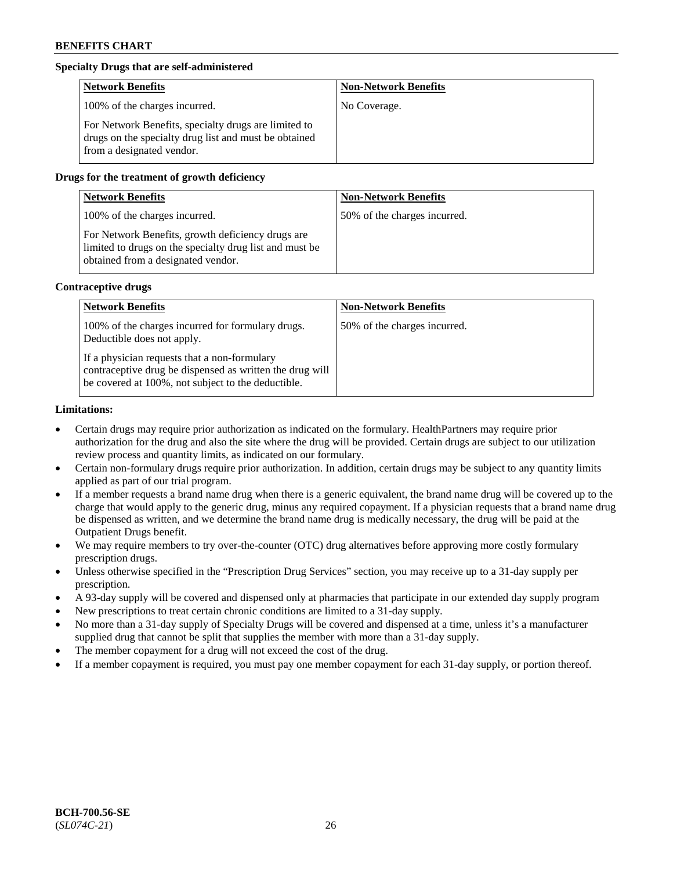## **Specialty Drugs that are self-administered**

| <b>Network Benefits</b>                                                                                                                    | <b>Non-Network Benefits</b> |
|--------------------------------------------------------------------------------------------------------------------------------------------|-----------------------------|
| 100% of the charges incurred.                                                                                                              | No Coverage.                |
| For Network Benefits, specialty drugs are limited to<br>drugs on the specialty drug list and must be obtained<br>from a designated vendor. |                             |

## **Drugs for the treatment of growth deficiency**

| <b>Network Benefits</b>                                                                                                                            | <b>Non-Network Benefits</b>  |
|----------------------------------------------------------------------------------------------------------------------------------------------------|------------------------------|
| 100% of the charges incurred.                                                                                                                      | 50% of the charges incurred. |
| For Network Benefits, growth deficiency drugs are<br>limited to drugs on the specialty drug list and must be<br>obtained from a designated vendor. |                              |

#### **Contraceptive drugs**

| <b>Network Benefits</b>                                                                                                                                        | <b>Non-Network Benefits</b>  |
|----------------------------------------------------------------------------------------------------------------------------------------------------------------|------------------------------|
| 100% of the charges incurred for formulary drugs.<br>Deductible does not apply.                                                                                | 50% of the charges incurred. |
| If a physician requests that a non-formulary<br>contraceptive drug be dispensed as written the drug will<br>be covered at 100%, not subject to the deductible. |                              |

#### **Limitations:**

- Certain drugs may require prior authorization as indicated on the formulary. HealthPartners may require prior authorization for the drug and also the site where the drug will be provided. Certain drugs are subject to our utilization review process and quantity limits, as indicated on our formulary.
- Certain non-formulary drugs require prior authorization. In addition, certain drugs may be subject to any quantity limits applied as part of our trial program.
- If a member requests a brand name drug when there is a generic equivalent, the brand name drug will be covered up to the charge that would apply to the generic drug, minus any required copayment. If a physician requests that a brand name drug be dispensed as written, and we determine the brand name drug is medically necessary, the drug will be paid at the Outpatient Drugs benefit.
- We may require members to try over-the-counter (OTC) drug alternatives before approving more costly formulary prescription drugs.
- Unless otherwise specified in the "Prescription Drug Services" section, you may receive up to a 31-day supply per prescription.
- A 93-day supply will be covered and dispensed only at pharmacies that participate in our extended day supply program
- New prescriptions to treat certain chronic conditions are limited to a 31-day supply.
- No more than a 31-day supply of Specialty Drugs will be covered and dispensed at a time, unless it's a manufacturer supplied drug that cannot be split that supplies the member with more than a 31-day supply.
- The member copayment for a drug will not exceed the cost of the drug.
- If a member copayment is required, you must pay one member copayment for each 31-day supply, or portion thereof.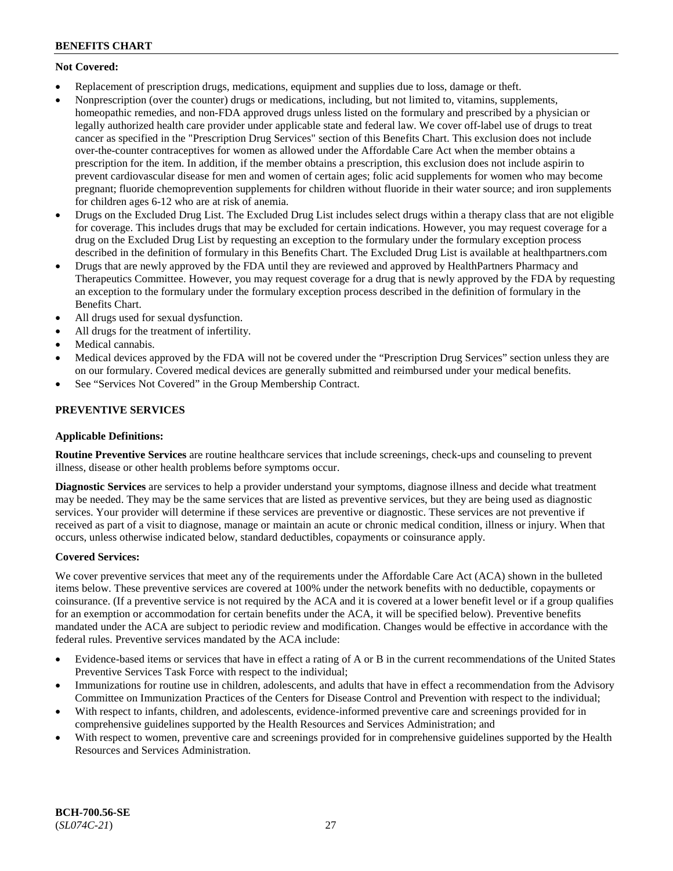## **Not Covered:**

- Replacement of prescription drugs, medications, equipment and supplies due to loss, damage or theft.
- Nonprescription (over the counter) drugs or medications, including, but not limited to, vitamins, supplements, homeopathic remedies, and non-FDA approved drugs unless listed on the formulary and prescribed by a physician or legally authorized health care provider under applicable state and federal law. We cover off-label use of drugs to treat cancer as specified in the "Prescription Drug Services" section of this Benefits Chart. This exclusion does not include over-the-counter contraceptives for women as allowed under the Affordable Care Act when the member obtains a prescription for the item. In addition, if the member obtains a prescription, this exclusion does not include aspirin to prevent cardiovascular disease for men and women of certain ages; folic acid supplements for women who may become pregnant; fluoride chemoprevention supplements for children without fluoride in their water source; and iron supplements for children ages 6-12 who are at risk of anemia.
- Drugs on the Excluded Drug List. The Excluded Drug List includes select drugs within a therapy class that are not eligible for coverage. This includes drugs that may be excluded for certain indications. However, you may request coverage for a drug on the Excluded Drug List by requesting an exception to the formulary under the formulary exception process described in the definition of formulary in this Benefits Chart. The Excluded Drug List is available at [healthpartners.com](http://www.healthpartners.com/)
- Drugs that are newly approved by the FDA until they are reviewed and approved by HealthPartners Pharmacy and Therapeutics Committee. However, you may request coverage for a drug that is newly approved by the FDA by requesting an exception to the formulary under the formulary exception process described in the definition of formulary in the Benefits Chart.
- All drugs used for sexual dysfunction.
- All drugs for the treatment of infertility.
- Medical cannabis.
- Medical devices approved by the FDA will not be covered under the "Prescription Drug Services" section unless they are on our formulary. Covered medical devices are generally submitted and reimbursed under your medical benefits.
- See "Services Not Covered" in the Group Membership Contract.

## **PREVENTIVE SERVICES**

## **Applicable Definitions:**

**Routine Preventive Services** are routine healthcare services that include screenings, check-ups and counseling to prevent illness, disease or other health problems before symptoms occur.

**Diagnostic Services** are services to help a provider understand your symptoms, diagnose illness and decide what treatment may be needed. They may be the same services that are listed as preventive services, but they are being used as diagnostic services. Your provider will determine if these services are preventive or diagnostic. These services are not preventive if received as part of a visit to diagnose, manage or maintain an acute or chronic medical condition, illness or injury. When that occurs, unless otherwise indicated below, standard deductibles, copayments or coinsurance apply.

## **Covered Services:**

We cover preventive services that meet any of the requirements under the Affordable Care Act (ACA) shown in the bulleted items below. These preventive services are covered at 100% under the network benefits with no deductible, copayments or coinsurance. (If a preventive service is not required by the ACA and it is covered at a lower benefit level or if a group qualifies for an exemption or accommodation for certain benefits under the ACA, it will be specified below). Preventive benefits mandated under the ACA are subject to periodic review and modification. Changes would be effective in accordance with the federal rules. Preventive services mandated by the ACA include:

- Evidence-based items or services that have in effect a rating of A or B in the current recommendations of the United States Preventive Services Task Force with respect to the individual;
- Immunizations for routine use in children, adolescents, and adults that have in effect a recommendation from the Advisory Committee on Immunization Practices of the Centers for Disease Control and Prevention with respect to the individual;
- With respect to infants, children, and adolescents, evidence-informed preventive care and screenings provided for in comprehensive guidelines supported by the Health Resources and Services Administration; and
- With respect to women, preventive care and screenings provided for in comprehensive guidelines supported by the Health Resources and Services Administration.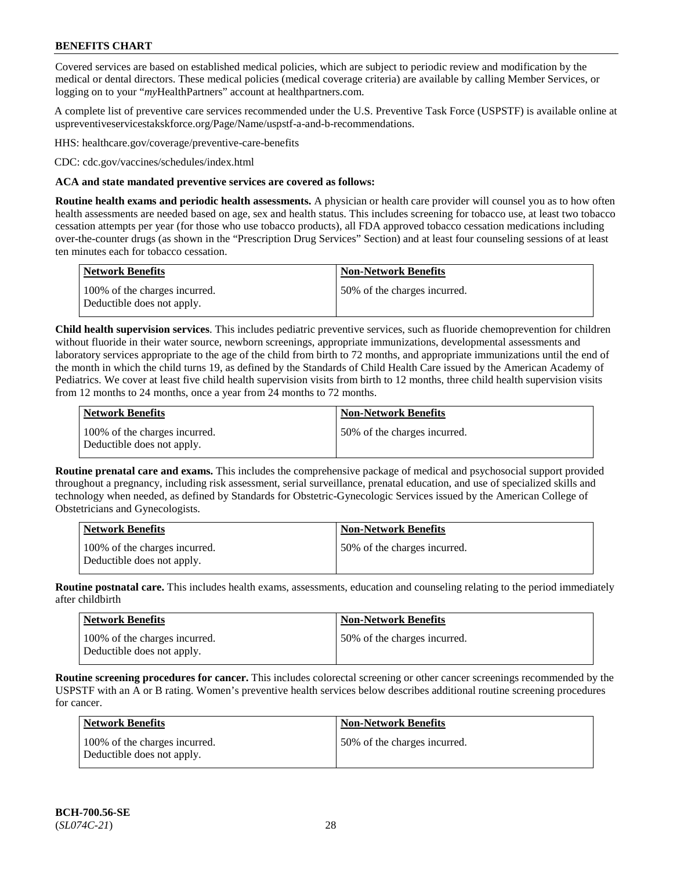Covered services are based on established medical policies, which are subject to periodic review and modification by the medical or dental directors. These medical policies (medical coverage criteria) are available by calling Member Services, or logging on to your "*my*HealthPartners" account at [healthpartners.com.](http://www.healthpartners.com/)

A complete list of preventive care services recommended under the U.S. Preventive Task Force (USPSTF) is available online at [uspreventiveservicestakskforce.org/Page/Name/uspstf-a-and-b-recommendations.](https://www.uspreventiveservicestaskforce.org/Page/Name/uspstf-a-and-b-recommendations-by-date/)

HHS: [healthcare.gov/coverage/preventive-care-benefits](https://www.healthcare.gov/coverage/preventive-care-benefits/)

CDC: [cdc.gov/vaccines/schedules/index.html](https://www.cdc.gov/vaccines/schedules/index.html)

### **ACA and state mandated preventive services are covered as follows:**

**Routine health exams and periodic health assessments.** A physician or health care provider will counsel you as to how often health assessments are needed based on age, sex and health status. This includes screening for tobacco use, at least two tobacco cessation attempts per year (for those who use tobacco products), all FDA approved tobacco cessation medications including over-the-counter drugs (as shown in the "Prescription Drug Services" Section) and at least four counseling sessions of at least ten minutes each for tobacco cessation.

| Network Benefits                                            | <b>Non-Network Benefits</b>  |
|-------------------------------------------------------------|------------------------------|
| 100% of the charges incurred.<br>Deductible does not apply. | 50% of the charges incurred. |

**Child health supervision services**. This includes pediatric preventive services, such as fluoride chemoprevention for children without fluoride in their water source, newborn screenings, appropriate immunizations, developmental assessments and laboratory services appropriate to the age of the child from birth to 72 months, and appropriate immunizations until the end of the month in which the child turns 19, as defined by the Standards of Child Health Care issued by the American Academy of Pediatrics. We cover at least five child health supervision visits from birth to 12 months, three child health supervision visits from 12 months to 24 months, once a year from 24 months to 72 months.

| Network Benefits                                            | <b>Non-Network Benefits</b>  |
|-------------------------------------------------------------|------------------------------|
| 100% of the charges incurred.<br>Deductible does not apply. | 50% of the charges incurred. |

**Routine prenatal care and exams.** This includes the comprehensive package of medical and psychosocial support provided throughout a pregnancy, including risk assessment, serial surveillance, prenatal education, and use of specialized skills and technology when needed, as defined by Standards for Obstetric-Gynecologic Services issued by the American College of Obstetricians and Gynecologists.

| <b>Network Benefits</b>                                     | <b>Non-Network Benefits</b>   |
|-------------------------------------------------------------|-------------------------------|
| 100% of the charges incurred.<br>Deductible does not apply. | 150% of the charges incurred. |

**Routine postnatal care.** This includes health exams, assessments, education and counseling relating to the period immediately after childbirth

| <b>Network Benefits</b>                                     | <b>Non-Network Benefits</b>  |
|-------------------------------------------------------------|------------------------------|
| 100% of the charges incurred.<br>Deductible does not apply. | 50% of the charges incurred. |

**Routine screening procedures for cancer.** This includes colorectal screening or other cancer screenings recommended by the USPSTF with an A or B rating. Women's preventive health services below describes additional routine screening procedures for cancer.

| <b>Network Benefits</b>                                     | <b>Non-Network Benefits</b>  |
|-------------------------------------------------------------|------------------------------|
| 100% of the charges incurred.<br>Deductible does not apply. | 50% of the charges incurred. |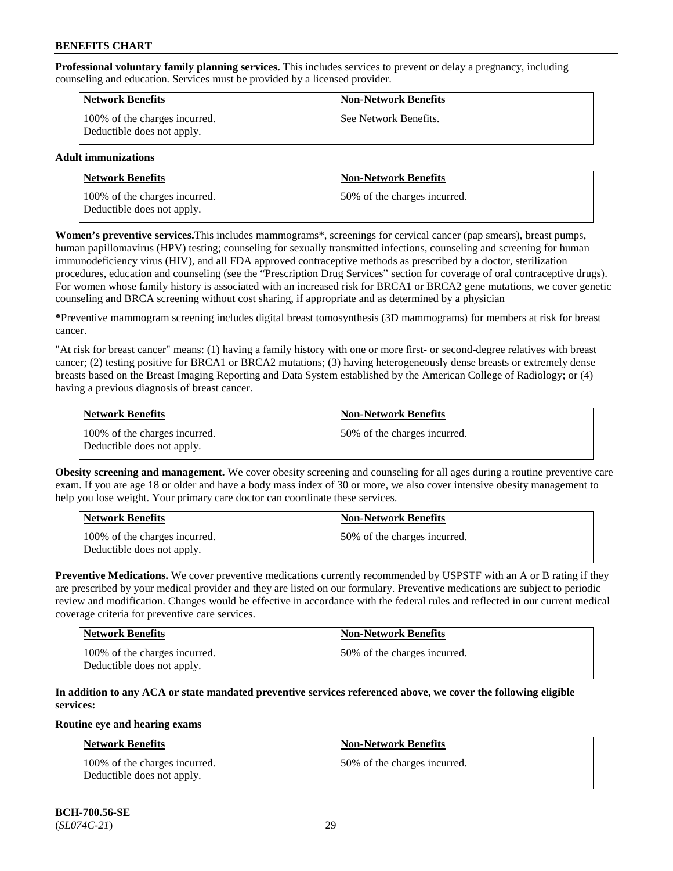**Professional voluntary family planning services.** This includes services to prevent or delay a pregnancy, including counseling and education. Services must be provided by a licensed provider.

| <b>Network Benefits</b>                                     | <b>Non-Network Benefits</b> |
|-------------------------------------------------------------|-----------------------------|
| 100% of the charges incurred.<br>Deductible does not apply. | See Network Benefits.       |

## **Adult immunizations**

| Network Benefits                                            | <b>Non-Network Benefits</b>  |
|-------------------------------------------------------------|------------------------------|
| 100% of the charges incurred.<br>Deductible does not apply. | 50% of the charges incurred. |

**Women's preventive services.**This includes mammograms\*, screenings for cervical cancer (pap smears), breast pumps, human papillomavirus (HPV) testing; counseling for sexually transmitted infections, counseling and screening for human immunodeficiency virus (HIV), and all FDA approved contraceptive methods as prescribed by a doctor, sterilization procedures, education and counseling (see the "Prescription Drug Services" section for coverage of oral contraceptive drugs). For women whose family history is associated with an increased risk for BRCA1 or BRCA2 gene mutations, we cover genetic counseling and BRCA screening without cost sharing, if appropriate and as determined by a physician

**\***Preventive mammogram screening includes digital breast tomosynthesis (3D mammograms) for members at risk for breast cancer.

"At risk for breast cancer" means: (1) having a family history with one or more first- or second-degree relatives with breast cancer; (2) testing positive for BRCA1 or BRCA2 mutations; (3) having heterogeneously dense breasts or extremely dense breasts based on the Breast Imaging Reporting and Data System established by the American College of Radiology; or (4) having a previous diagnosis of breast cancer.

| Network Benefits                                            | <b>Non-Network Benefits</b>  |
|-------------------------------------------------------------|------------------------------|
| 100% of the charges incurred.<br>Deductible does not apply. | 50% of the charges incurred. |

**Obesity screening and management.** We cover obesity screening and counseling for all ages during a routine preventive care exam. If you are age 18 or older and have a body mass index of 30 or more, we also cover intensive obesity management to help you lose weight. Your primary care doctor can coordinate these services.

| Network Benefits                                            | <b>Non-Network Benefits</b>  |
|-------------------------------------------------------------|------------------------------|
| 100% of the charges incurred.<br>Deductible does not apply. | 50% of the charges incurred. |

**Preventive Medications.** We cover preventive medications currently recommended by USPSTF with an A or B rating if they are prescribed by your medical provider and they are listed on our formulary. Preventive medications are subject to periodic review and modification. Changes would be effective in accordance with the federal rules and reflected in our current medical coverage criteria for preventive care services.

| <b>Network Benefits</b>                                     | <b>Non-Network Benefits</b>   |
|-------------------------------------------------------------|-------------------------------|
| 100% of the charges incurred.<br>Deductible does not apply. | 150% of the charges incurred. |

## **In addition to any ACA or state mandated preventive services referenced above, we cover the following eligible services:**

#### **Routine eye and hearing exams**

| <b>Network Benefits</b>                                     | <b>Non-Network Benefits</b>  |
|-------------------------------------------------------------|------------------------------|
| 100% of the charges incurred.<br>Deductible does not apply. | 50% of the charges incurred. |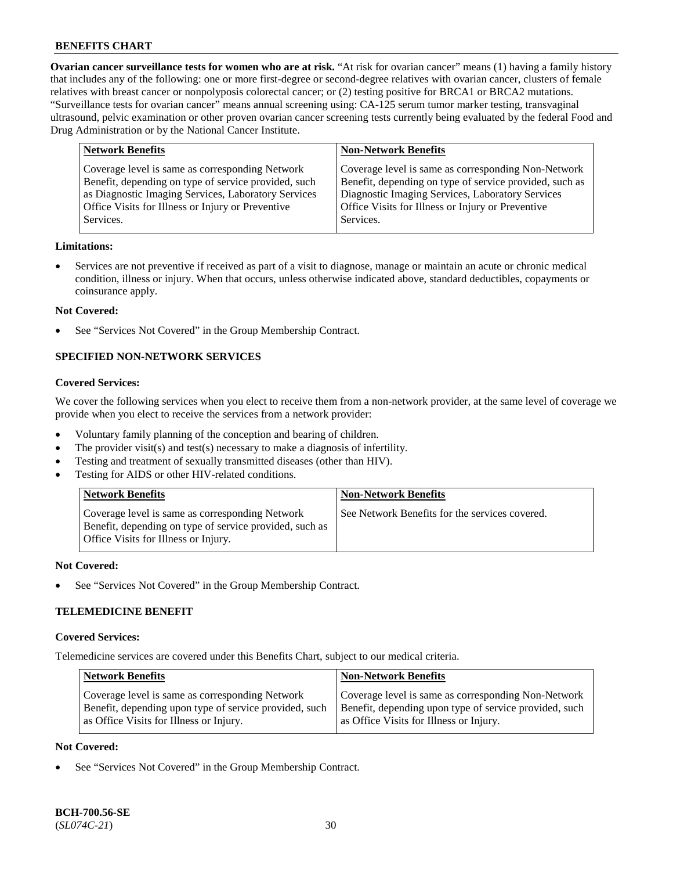**Ovarian cancer surveillance tests for women who are at risk.** "At risk for ovarian cancer" means (1) having a family history that includes any of the following: one or more first-degree or second-degree relatives with ovarian cancer, clusters of female relatives with breast cancer or nonpolyposis colorectal cancer; or (2) testing positive for BRCA1 or BRCA2 mutations. "Surveillance tests for ovarian cancer" means annual screening using: CA-125 serum tumor marker testing, transvaginal ultrasound, pelvic examination or other proven ovarian cancer screening tests currently being evaluated by the federal Food and Drug Administration or by the National Cancer Institute.

| <b>Network Benefits</b>                              | <b>Non-Network Benefits</b>                             |
|------------------------------------------------------|---------------------------------------------------------|
| Coverage level is same as corresponding Network      | Coverage level is same as corresponding Non-Network     |
| Benefit, depending on type of service provided, such | Benefit, depending on type of service provided, such as |
| as Diagnostic Imaging Services, Laboratory Services  | Diagnostic Imaging Services, Laboratory Services        |
| Office Visits for Illness or Injury or Preventive    | Office Visits for Illness or Injury or Preventive       |
| Services.                                            | Services.                                               |

#### **Limitations:**

• Services are not preventive if received as part of a visit to diagnose, manage or maintain an acute or chronic medical condition, illness or injury. When that occurs, unless otherwise indicated above, standard deductibles, copayments or coinsurance apply.

#### **Not Covered:**

See "Services Not Covered" in the Group Membership Contract.

## **SPECIFIED NON-NETWORK SERVICES**

## **Covered Services:**

We cover the following services when you elect to receive them from a non-network provider, at the same level of coverage we provide when you elect to receive the services from a network provider:

- Voluntary family planning of the conception and bearing of children.
- The provider visit(s) and test(s) necessary to make a diagnosis of infertility.
- Testing and treatment of sexually transmitted diseases (other than HIV).
- Testing for AIDS or other HIV-related conditions.

| <b>Network Benefits</b>                                                                                                                            | <b>Non-Network Benefits</b>                    |
|----------------------------------------------------------------------------------------------------------------------------------------------------|------------------------------------------------|
| Coverage level is same as corresponding Network<br>Benefit, depending on type of service provided, such as<br>Office Visits for Illness or Injury. | See Network Benefits for the services covered. |

#### **Not Covered:**

See "Services Not Covered" in the Group Membership Contract.

## **TELEMEDICINE BENEFIT**

#### **Covered Services:**

Telemedicine services are covered under this Benefits Chart, subject to our medical criteria.

| <b>Network Benefits</b>                                | <b>Non-Network Benefits</b>                            |
|--------------------------------------------------------|--------------------------------------------------------|
| Coverage level is same as corresponding Network        | Coverage level is same as corresponding Non-Network    |
| Benefit, depending upon type of service provided, such | Benefit, depending upon type of service provided, such |
| as Office Visits for Illness or Injury.                | as Office Visits for Illness or Injury.                |

### **Not Covered:**

See "Services Not Covered" in the Group Membership Contract.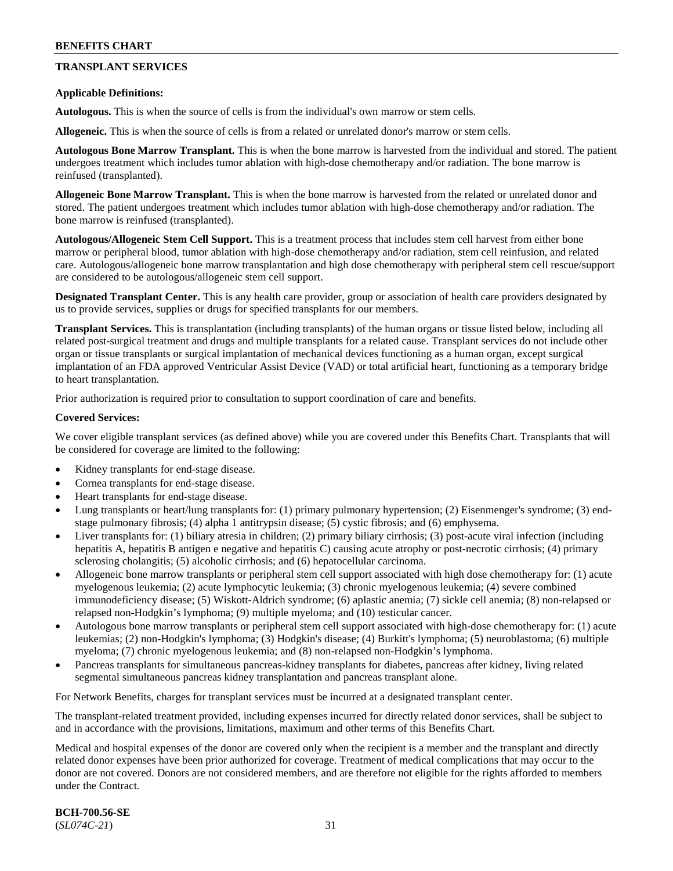## **TRANSPLANT SERVICES**

### **Applicable Definitions:**

**Autologous.** This is when the source of cells is from the individual's own marrow or stem cells.

**Allogeneic.** This is when the source of cells is from a related or unrelated donor's marrow or stem cells.

**Autologous Bone Marrow Transplant.** This is when the bone marrow is harvested from the individual and stored. The patient undergoes treatment which includes tumor ablation with high-dose chemotherapy and/or radiation. The bone marrow is reinfused (transplanted).

**Allogeneic Bone Marrow Transplant.** This is when the bone marrow is harvested from the related or unrelated donor and stored. The patient undergoes treatment which includes tumor ablation with high-dose chemotherapy and/or radiation. The bone marrow is reinfused (transplanted).

**Autologous/Allogeneic Stem Cell Support.** This is a treatment process that includes stem cell harvest from either bone marrow or peripheral blood, tumor ablation with high-dose chemotherapy and/or radiation, stem cell reinfusion, and related care. Autologous/allogeneic bone marrow transplantation and high dose chemotherapy with peripheral stem cell rescue/support are considered to be autologous/allogeneic stem cell support.

**Designated Transplant Center.** This is any health care provider, group or association of health care providers designated by us to provide services, supplies or drugs for specified transplants for our members.

**Transplant Services.** This is transplantation (including transplants) of the human organs or tissue listed below, including all related post-surgical treatment and drugs and multiple transplants for a related cause. Transplant services do not include other organ or tissue transplants or surgical implantation of mechanical devices functioning as a human organ, except surgical implantation of an FDA approved Ventricular Assist Device (VAD) or total artificial heart, functioning as a temporary bridge to heart transplantation.

Prior authorization is required prior to consultation to support coordination of care and benefits.

#### **Covered Services:**

We cover eligible transplant services (as defined above) while you are covered under this Benefits Chart. Transplants that will be considered for coverage are limited to the following:

- Kidney transplants for end-stage disease.
- Cornea transplants for end-stage disease.
- Heart transplants for end-stage disease.
- Lung transplants or heart/lung transplants for: (1) primary pulmonary hypertension; (2) Eisenmenger's syndrome; (3) endstage pulmonary fibrosis; (4) alpha 1 antitrypsin disease; (5) cystic fibrosis; and (6) emphysema.
- Liver transplants for: (1) biliary atresia in children; (2) primary biliary cirrhosis; (3) post-acute viral infection (including hepatitis A, hepatitis B antigen e negative and hepatitis C) causing acute atrophy or post-necrotic cirrhosis; (4) primary sclerosing cholangitis; (5) alcoholic cirrhosis; and (6) hepatocellular carcinoma.
- Allogeneic bone marrow transplants or peripheral stem cell support associated with high dose chemotherapy for: (1) acute myelogenous leukemia; (2) acute lymphocytic leukemia; (3) chronic myelogenous leukemia; (4) severe combined immunodeficiency disease; (5) Wiskott-Aldrich syndrome; (6) aplastic anemia; (7) sickle cell anemia; (8) non-relapsed or relapsed non-Hodgkin's lymphoma; (9) multiple myeloma; and (10) testicular cancer.
- Autologous bone marrow transplants or peripheral stem cell support associated with high-dose chemotherapy for: (1) acute leukemias; (2) non-Hodgkin's lymphoma; (3) Hodgkin's disease; (4) Burkitt's lymphoma; (5) neuroblastoma; (6) multiple myeloma; (7) chronic myelogenous leukemia; and (8) non-relapsed non-Hodgkin's lymphoma.
- Pancreas transplants for simultaneous pancreas-kidney transplants for diabetes, pancreas after kidney, living related segmental simultaneous pancreas kidney transplantation and pancreas transplant alone.

For Network Benefits, charges for transplant services must be incurred at a designated transplant center.

The transplant-related treatment provided, including expenses incurred for directly related donor services, shall be subject to and in accordance with the provisions, limitations, maximum and other terms of this Benefits Chart.

Medical and hospital expenses of the donor are covered only when the recipient is a member and the transplant and directly related donor expenses have been prior authorized for coverage. Treatment of medical complications that may occur to the donor are not covered. Donors are not considered members, and are therefore not eligible for the rights afforded to members under the Contract.